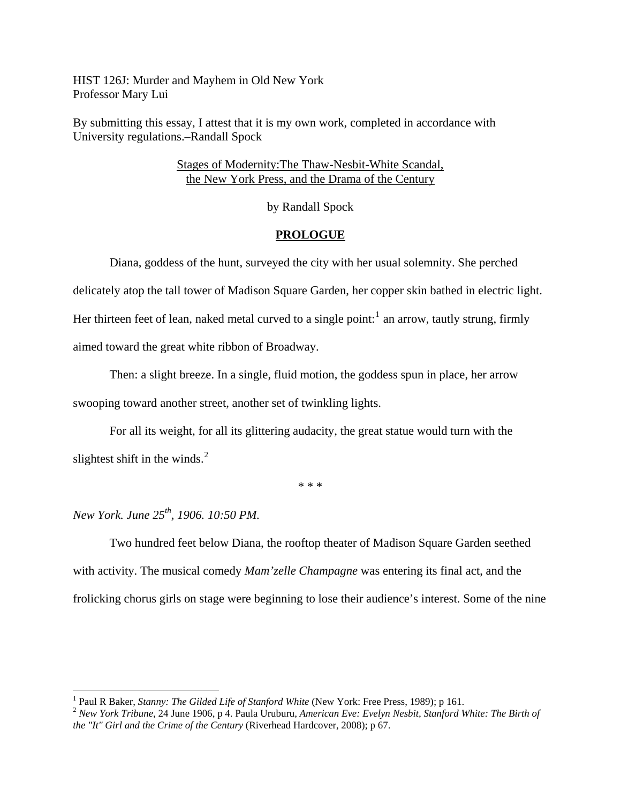HIST 126J: Murder and Mayhem in Old New York Professor Mary Lui

By submitting this essay, I attest that it is my own work, completed in accordance with University regulations.–Randall Spock

> Stages of Modernity:The Thaw-Nesbit-White Scandal, the New York Press, and the Drama of the Century

> > by Randall Spock

# **PROLOGUE**

Diana, goddess of the hunt, surveyed the city with her usual solemnity. She perched delicately atop the tall tower of Madison Square Garden, her copper skin bathed in electric light. Her thirteen feet of lean, naked metal curved to a single point:<sup>[1](#page-0-0)</sup> an arrow, tautly strung, firmly aimed toward the great white ribbon of Broadway.

 Then: a slight breeze. In a single, fluid motion, the goddess spun in place, her arrow swooping toward another street, another set of twinkling lights.

For all its weight, for all its glittering audacity, the great statue would turn with the slightest shift in the winds. $2$ 

\* \* \*

# *New York. June 25th, 1906. 10:50 PM.*

 $\overline{a}$ 

Two hundred feet below Diana, the rooftop theater of Madison Square Garden seethed with activity. The musical comedy *Mam'zelle Champagne* was entering its final act, and the frolicking chorus girls on stage were beginning to lose their audience's interest. Some of the nine

<span id="page-0-0"></span><sup>&</sup>lt;sup>1</sup> Paul R Baker, *Stanny: The Gilded Life of Stanford White* (New York: Free Press, 1989); p 161.

<span id="page-0-1"></span> $2$  New York Tribune, 24 June 1906, p 4. Paula Uruburu, American Eve: Evelyn Nesbit, Stanford White: The Birth of *the "It" Girl and the Crime of the Century* (Riverhead Hardcover, 2008); p 67.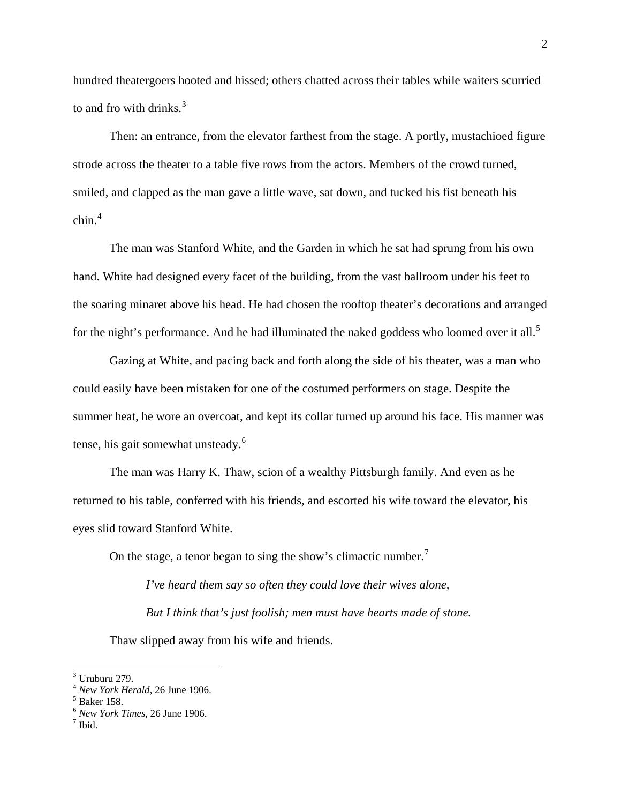hundred theatergoers hooted and hissed; others chatted across their tables while waiters scurried to and fro with drinks. $3$ 

Then: an entrance, from the elevator farthest from the stage. A portly, mustachioed figure strode across the theater to a table five rows from the actors. Members of the crowd turned, smiled, and clapped as the man gave a little wave, sat down, and tucked his fist beneath his  $chin<sup>4</sup>$  $chin<sup>4</sup>$  $chin<sup>4</sup>$ 

The man was Stanford White, and the Garden in which he sat had sprung from his own hand. White had designed every facet of the building, from the vast ballroom under his feet to the soaring minaret above his head. He had chosen the rooftop theater's decorations and arranged for the night's performance. And he had illuminated the naked goddess who loomed over it all.<sup>[5](#page-1-2)</sup>

Gazing at White, and pacing back and forth along the side of his theater, was a man who could easily have been mistaken for one of the costumed performers on stage. Despite the summer heat, he wore an overcoat, and kept its collar turned up around his face. His manner was tense, his gait somewhat unsteady.<sup>[6](#page-1-3)</sup>

The man was Harry K. Thaw, scion of a wealthy Pittsburgh family. And even as he returned to his table, conferred with his friends, and escorted his wife toward the elevator, his eyes slid toward Stanford White.

On the stage, a tenor began to sing the show's climactic number.<sup>[7](#page-1-4)</sup>

*I've heard them say so often they could love their wives alone, But I think that's just foolish; men must have hearts made of stone.*  Thaw slipped away from his wife and friends.

<span id="page-1-0"></span> $3$  Uruburu 279.

<sup>&</sup>lt;sup>4</sup> New York Herald, 26 June 1906.

<span id="page-1-2"></span><span id="page-1-1"></span> $<sup>5</sup>$  Baker 158.</sup>

<span id="page-1-3"></span><sup>6</sup> *New York Times*, 26 June 1906. 7

<span id="page-1-4"></span> $<sup>7</sup>$  Ibid.</sup>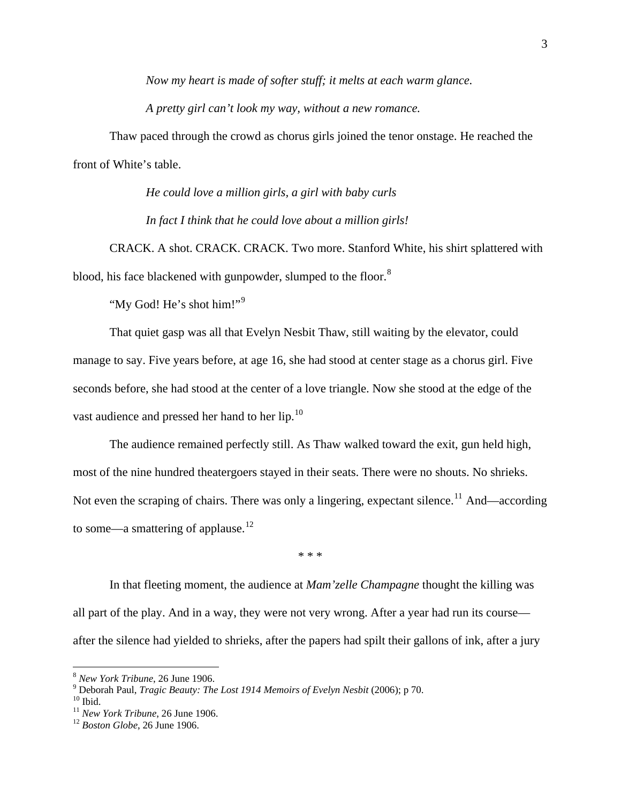*Now my heart is made of softer stuff; it melts at each warm glance.* 

*A pretty girl can't look my way, without a new romance.* 

Thaw paced through the crowd as chorus girls joined the tenor onstage. He reached the front of White's table.

> *He could love a million girls, a girl with baby curls In fact I think that he could love about a million girls!*

CRACK. A shot. CRACK. CRACK. Two more. Stanford White, his shirt splattered with blood, his face blackened with gunpowder, slumped to the floor.<sup>[8](#page-2-0)</sup>

"My God! He's shot him!"<sup>[9](#page-2-1)</sup>

That quiet gasp was all that Evelyn Nesbit Thaw, still waiting by the elevator, could manage to say. Five years before, at age 16, she had stood at center stage as a chorus girl. Five seconds before, she had stood at the center of a love triangle. Now she stood at the edge of the vast audience and pressed her hand to her lip.[10](#page-2-2)

The audience remained perfectly still. As Thaw walked toward the exit, gun held high, most of the nine hundred theatergoers stayed in their seats. There were no shouts. No shrieks. Not even the scraping of chairs. There was only a lingering, expectant silence.<sup>[11](#page-2-3)</sup> And—according to some—a smattering of applause.<sup>[12](#page-2-4)</sup>

\* \* \*

In that fleeting moment, the audience at *Mam'zelle Champagne* thought the killing was all part of the play. And in a way, they were not very wrong. After a year had run its course after the silence had yielded to shrieks, after the papers had spilt their gallons of ink, after a jury

<span id="page-2-1"></span>

<span id="page-2-0"></span><sup>&</sup>lt;sup>8</sup> *New York Tribune*, 26 June 1906.<br><sup>9</sup> Deborah Paul, *Tragic Beauty: The Lost 1914 Memoirs of Evelyn Nesbit* (2006); p 70.<br><sup>10</sup> Ibid.

<span id="page-2-2"></span>

<span id="page-2-3"></span><sup>11</sup> *New York Tribune*, 26 June 1906. 12 *Boston Globe*, 26 June 1906.

<span id="page-2-4"></span>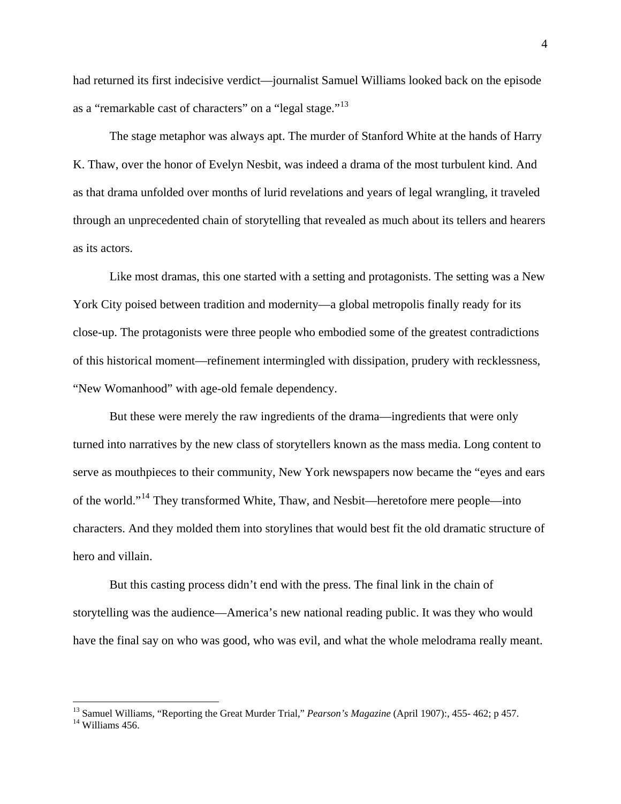had returned its first indecisive verdict—journalist Samuel Williams looked back on the episode as a "remarkable cast of characters" on a "legal stage."<sup>[13](#page-3-0)</sup>

 The stage metaphor was always apt. The murder of Stanford White at the hands of Harry K. Thaw, over the honor of Evelyn Nesbit, was indeed a drama of the most turbulent kind. And as that drama unfolded over months of lurid revelations and years of legal wrangling, it traveled through an unprecedented chain of storytelling that revealed as much about its tellers and hearers as its actors.

 Like most dramas, this one started with a setting and protagonists. The setting was a New York City poised between tradition and modernity—a global metropolis finally ready for its close-up. The protagonists were three people who embodied some of the greatest contradictions of this historical moment—refinement intermingled with dissipation, prudery with recklessness, "New Womanhood" with age-old female dependency.

 But these were merely the raw ingredients of the drama—ingredients that were only turned into narratives by the new class of storytellers known as the mass media. Long content to serve as mouthpieces to their community, New York newspapers now became the "eyes and ears of the world."[14](#page-3-1) They transformed White, Thaw, and Nesbit—heretofore mere people—into characters. And they molded them into storylines that would best fit the old dramatic structure of hero and villain.

 But this casting process didn't end with the press. The final link in the chain of storytelling was the audience—America's new national reading public. It was they who would have the final say on who was good, who was evil, and what the whole melodrama really meant.

<span id="page-3-0"></span><sup>&</sup>lt;sup>13</sup> Samuel Williams, "Reporting the Great Murder Trial," *Pearson's Magazine* (April 1907):, 455- 462; p 457.<br><sup>14</sup> Williams 456.

<span id="page-3-1"></span>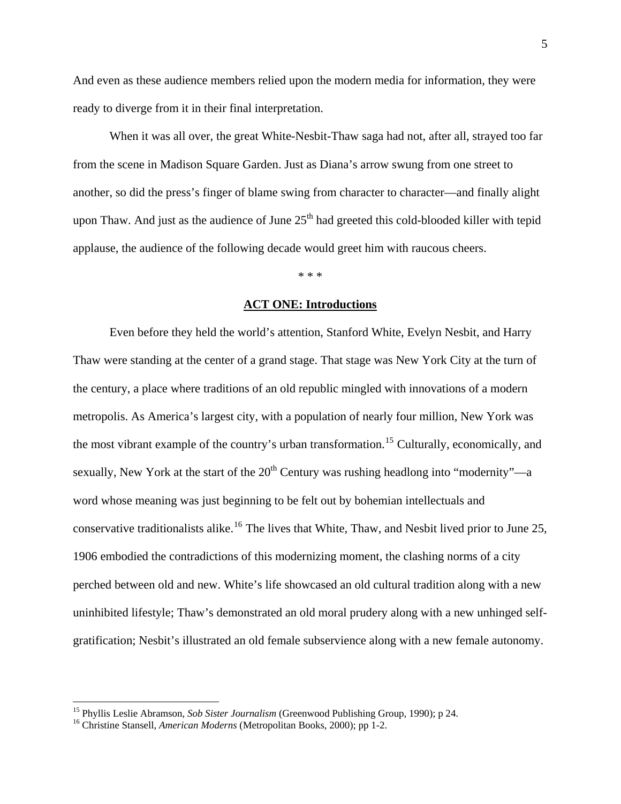And even as these audience members relied upon the modern media for information, they were ready to diverge from it in their final interpretation.

 When it was all over, the great White-Nesbit-Thaw saga had not, after all, strayed too far from the scene in Madison Square Garden. Just as Diana's arrow swung from one street to another, so did the press's finger of blame swing from character to character—and finally alight upon Thaw. And just as the audience of June  $25<sup>th</sup>$  had greeted this cold-blooded killer with tepid applause, the audience of the following decade would greet him with raucous cheers.

#### \* \* \*

### **ACT ONE: Introductions**

 Even before they held the world's attention, Stanford White, Evelyn Nesbit, and Harry Thaw were standing at the center of a grand stage. That stage was New York City at the turn of the century, a place where traditions of an old republic mingled with innovations of a modern metropolis. As America's largest city, with a population of nearly four million, New York was the most vibrant example of the country's urban transformation.<sup>[15](#page-4-0)</sup> Culturally, economically, and sexually, New York at the start of the  $20<sup>th</sup>$  Century was rushing headlong into "modernity"—a word whose meaning was just beginning to be felt out by bohemian intellectuals and conservative traditionalists alike.<sup>[16](#page-4-1)</sup> The lives that White, Thaw, and Nesbit lived prior to June 25, 1906 embodied the contradictions of this modernizing moment, the clashing norms of a city perched between old and new. White's life showcased an old cultural tradition along with a new uninhibited lifestyle; Thaw's demonstrated an old moral prudery along with a new unhinged selfgratification; Nesbit's illustrated an old female subservience along with a new female autonomy.

<span id="page-4-0"></span><sup>&</sup>lt;sup>15</sup> Phyllis Leslie Abramson, *Sob Sister Journalism* (Greenwood Publishing Group, 1990); p 24.<br><sup>16</sup> Christine Stansell, *American Moderns* (Metropolitan Books, 2000); pp 1-2.

<span id="page-4-1"></span>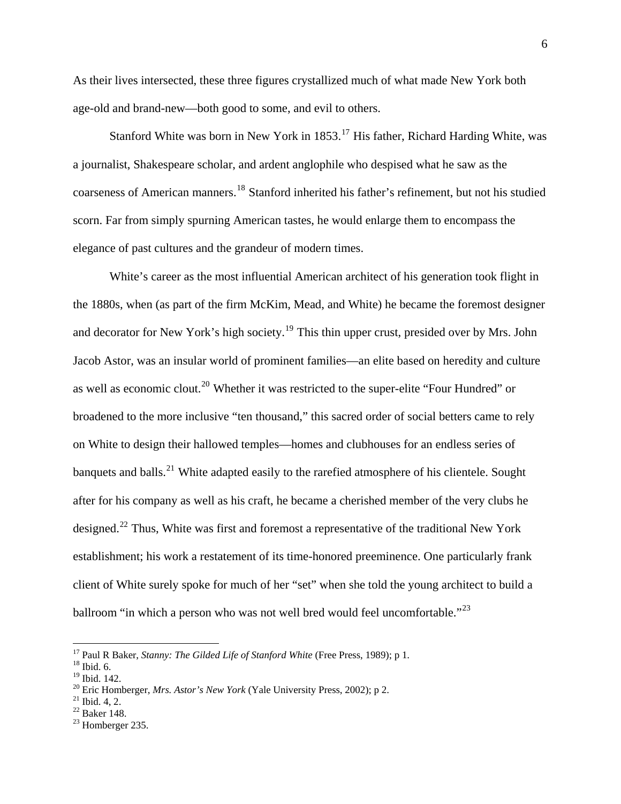As their lives intersected, these three figures crystallized much of what made New York both age-old and brand-new—both good to some, and evil to others.

Stanford White was born in New York in 1853.<sup>[17](#page-5-0)</sup> His father, Richard Harding White, was a journalist, Shakespeare scholar, and ardent anglophile who despised what he saw as the coarseness of American manners.[18](#page-5-1) Stanford inherited his father's refinement, but not his studied scorn. Far from simply spurning American tastes, he would enlarge them to encompass the elegance of past cultures and the grandeur of modern times.

White's career as the most influential American architect of his generation took flight in the 1880s, when (as part of the firm McKim, Mead, and White) he became the foremost designer and decorator for New York's high society.<sup>[19](#page-5-2)</sup> This thin upper crust, presided over by Mrs. John Jacob Astor, was an insular world of prominent families—an elite based on heredity and culture as well as economic clout.<sup>[20](#page-5-3)</sup> Whether it was restricted to the super-elite "Four Hundred" or broadened to the more inclusive "ten thousand," this sacred order of social betters came to rely on White to design their hallowed temples—homes and clubhouses for an endless series of banquets and balls.<sup>[21](#page-5-4)</sup> White adapted easily to the rarefied atmosphere of his clientele. Sought after for his company as well as his craft, he became a cherished member of the very clubs he designed.<sup>[22](#page-5-5)</sup> Thus, White was first and foremost a representative of the traditional New York establishment; his work a restatement of its time-honored preeminence. One particularly frank client of White surely spoke for much of her "set" when she told the young architect to build a ballroom "in which a person who was not well bred would feel uncomfortable."<sup>[23](#page-5-6)</sup>

<span id="page-5-1"></span><span id="page-5-0"></span><sup>&</sup>lt;sup>17</sup> Paul R Baker, *Stanny: The Gilded Life of Stanford White* (Free Press, 1989); p 1.<br><sup>18</sup> Ibid. 6.

<span id="page-5-2"></span> $19$  Ibid. 142.

<span id="page-5-3"></span><sup>&</sup>lt;sup>20</sup> Eric Homberger, *Mrs. Astor's New York* (Yale University Press, 2002); p 2.<br><sup>21</sup> Ibid. 4, 2.

<span id="page-5-4"></span>

<span id="page-5-5"></span><sup>22</sup> Baker 148.

<span id="page-5-6"></span><sup>23</sup> Homberger 235.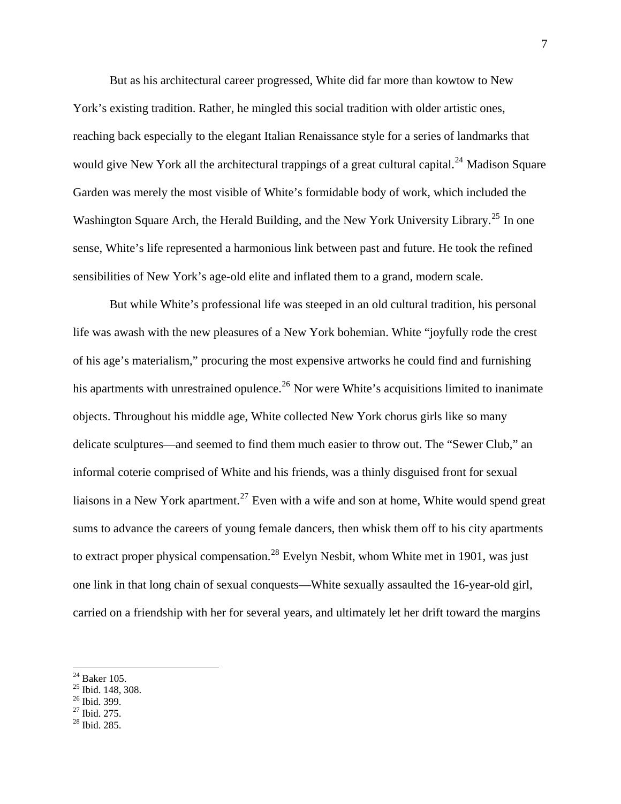But as his architectural career progressed, White did far more than kowtow to New York's existing tradition. Rather, he mingled this social tradition with older artistic ones, reaching back especially to the elegant Italian Renaissance style for a series of landmarks that would give New York all the architectural trappings of a great cultural capital.<sup>[24](#page-6-0)</sup> Madison Square Garden was merely the most visible of White's formidable body of work, which included the Washington Square Arch, the Herald Building, and the New York University Library.<sup>[25](#page-6-1)</sup> In one sense, White's life represented a harmonious link between past and future. He took the refined sensibilities of New York's age-old elite and inflated them to a grand, modern scale.

 But while White's professional life was steeped in an old cultural tradition, his personal life was awash with the new pleasures of a New York bohemian. White "joyfully rode the crest of his age's materialism," procuring the most expensive artworks he could find and furnishing his apartments with unrestrained opulence.<sup>[26](#page-6-2)</sup> Nor were White's acquisitions limited to inanimate objects. Throughout his middle age, White collected New York chorus girls like so many delicate sculptures—and seemed to find them much easier to throw out. The "Sewer Club," an informal coterie comprised of White and his friends, was a thinly disguised front for sexual liaisons in a New York apartment.<sup>[27](#page-6-3)</sup> Even with a wife and son at home, White would spend great sums to advance the careers of young female dancers, then whisk them off to his city apartments to extract proper physical compensation.<sup>[28](#page-6-4)</sup> Evelyn Nesbit, whom White met in 1901, was just one link in that long chain of sexual conquests—White sexually assaulted the 16-year-old girl, carried on a friendship with her for several years, and ultimately let her drift toward the margins

- <span id="page-6-2"></span><sup>26</sup> Ibid. 399.
- <span id="page-6-3"></span>27 Ibid. 275.
- <span id="page-6-4"></span>28 Ibid. 285.

 $24$  Baker 105.

<span id="page-6-1"></span><span id="page-6-0"></span> $^{25}$  Ibid. 148, 308.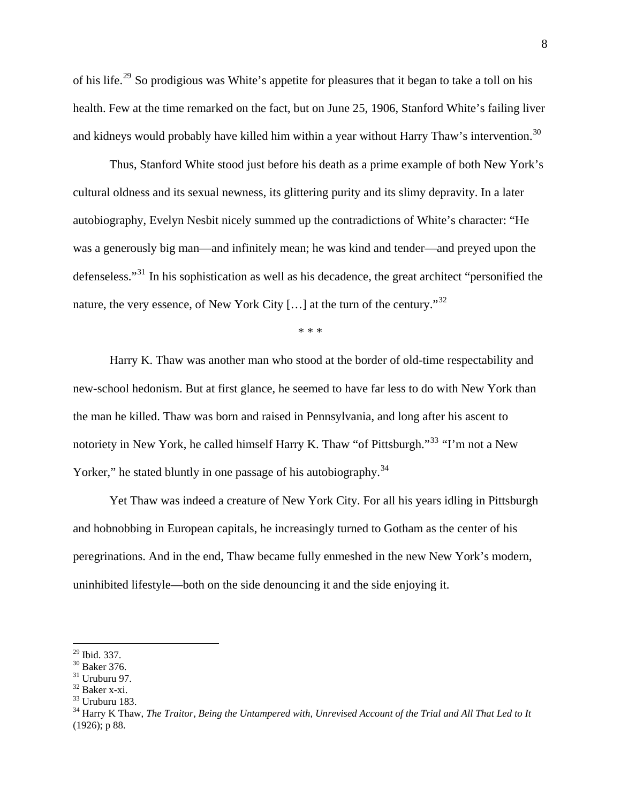of his life.[29](#page-7-0) So prodigious was White's appetite for pleasures that it began to take a toll on his health. Few at the time remarked on the fact, but on June 25, 1906, Stanford White's failing liver and kidneys would probably have killed him within a year without Harry Thaw's intervention.<sup>[30](#page-7-1)</sup>

Thus, Stanford White stood just before his death as a prime example of both New York's cultural oldness and its sexual newness, its glittering purity and its slimy depravity. In a later autobiography, Evelyn Nesbit nicely summed up the contradictions of White's character: "He was a generously big man—and infinitely mean; he was kind and tender—and preyed upon the defenseless."[31](#page-7-2) In his sophistication as well as his decadence, the great architect "personified the nature, the very essence, of New York City  $[\,\ldots]$  at the turn of the century."<sup>[32](#page-7-3)</sup>

\* \* \*

 Harry K. Thaw was another man who stood at the border of old-time respectability and new-school hedonism. But at first glance, he seemed to have far less to do with New York than the man he killed. Thaw was born and raised in Pennsylvania, and long after his ascent to notoriety in New York, he called himself Harry K. Thaw "of Pittsburgh."<sup>[33](#page-7-4)</sup> "I'm not a New Yorker," he stated bluntly in one passage of his autobiography.<sup>[34](#page-7-5)</sup>

Yet Thaw was indeed a creature of New York City. For all his years idling in Pittsburgh and hobnobbing in European capitals, he increasingly turned to Gotham as the center of his peregrinations. And in the end, Thaw became fully enmeshed in the new New York's modern, uninhibited lifestyle—both on the side denouncing it and the side enjoying it.

 $\overline{a}$ <sup>29</sup> Ibid. 337.

<span id="page-7-1"></span><span id="page-7-0"></span><sup>30</sup> Baker 376.

<span id="page-7-2"></span> $31$  Uruburu 97.

<span id="page-7-3"></span> $32$  Baker x-xi.

<span id="page-7-4"></span><sup>33</sup> Uruburu 183.

<span id="page-7-5"></span><sup>34</sup> Harry K Thaw, *The Traitor, Being the Untampered with, Unrevised Account of the Trial and All That Led to It* (1926); p 88.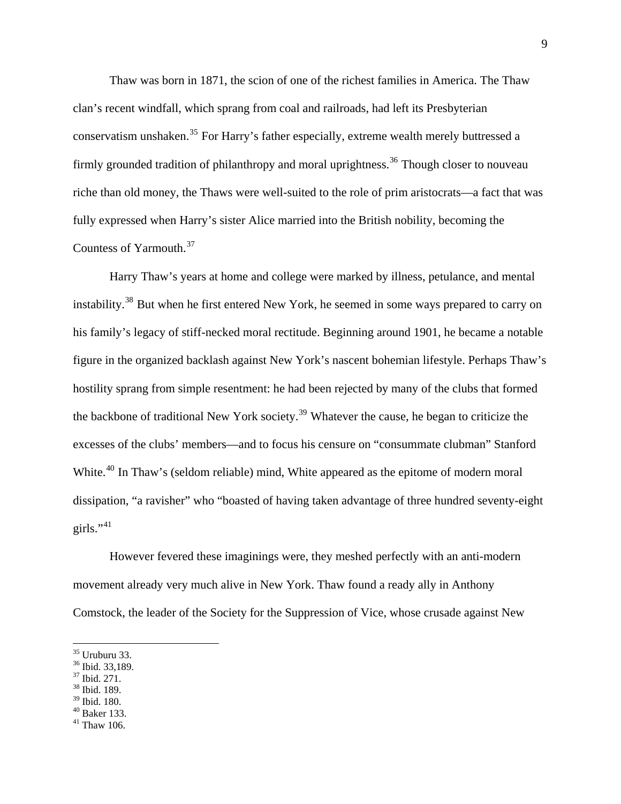Thaw was born in 1871, the scion of one of the richest families in America. The Thaw clan's recent windfall, which sprang from coal and railroads, had left its Presbyterian conservatism unshaken.<sup>[35](#page-8-0)</sup> For Harry's father especially, extreme wealth merely buttressed a firmly grounded tradition of philanthropy and moral uprightness.<sup>[36](#page-8-1)</sup> Though closer to nouveau riche than old money, the Thaws were well-suited to the role of prim aristocrats—a fact that was fully expressed when Harry's sister Alice married into the British nobility, becoming the Countess of Yarmouth.[37](#page-8-2)

Harry Thaw's years at home and college were marked by illness, petulance, and mental instability.<sup>[38](#page-8-3)</sup> But when he first entered New York, he seemed in some ways prepared to carry on his family's legacy of stiff-necked moral rectitude. Beginning around 1901, he became a notable figure in the organized backlash against New York's nascent bohemian lifestyle. Perhaps Thaw's hostility sprang from simple resentment: he had been rejected by many of the clubs that formed the backbone of traditional New York society.<sup>[39](#page-8-4)</sup> Whatever the cause, he began to criticize the excesses of the clubs' members—and to focus his censure on "consummate clubman" Stanford White.<sup>[40](#page-8-5)</sup> In Thaw's (seldom reliable) mind, White appeared as the epitome of modern moral dissipation, "a ravisher" who "boasted of having taken advantage of three hundred seventy-eight girls." $41$ 

However fevered these imaginings were, they meshed perfectly with an anti-modern movement already very much alive in New York. Thaw found a ready ally in Anthony Comstock, the leader of the Society for the Suppression of Vice, whose crusade against New

- <span id="page-8-1"></span>36 Ibid. 33,189.
- <span id="page-8-2"></span> $37$  Ibid. 271.

- <span id="page-8-4"></span>39 Ibid. 180.
- <span id="page-8-5"></span>40 Baker 133.
- <span id="page-8-6"></span>41 Thaw 106.

<span id="page-8-0"></span> $35$  Uruburu 33.

<span id="page-8-3"></span><sup>38</sup> Ibid. 189.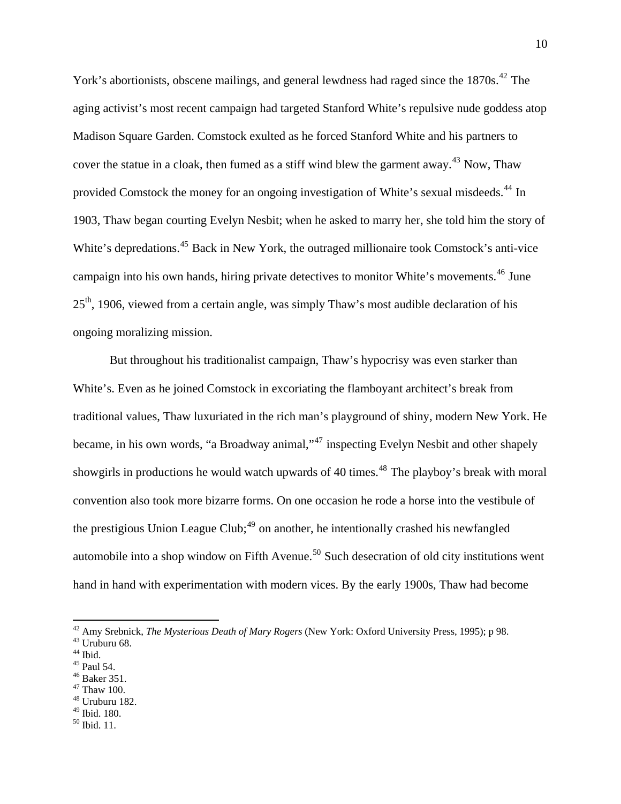York's abortionists, obscene mailings, and general lewdness had raged since the 1870s.<sup>[42](#page-9-0)</sup> The aging activist's most recent campaign had targeted Stanford White's repulsive nude goddess atop Madison Square Garden. Comstock exulted as he forced Stanford White and his partners to cover the statue in a cloak, then fumed as a stiff wind blew the garment away.<sup>[43](#page-9-1)</sup> Now, Thaw provided Comstock the money for an ongoing investigation of White's sexual misdeeds.<sup>[44](#page-9-2)</sup> In 1903, Thaw began courting Evelyn Nesbit; when he asked to marry her, she told him the story of White's depredations.<sup>[45](#page-9-3)</sup> Back in New York, the outraged millionaire took Comstock's anti-vice campaign into his own hands, hiring private detectives to monitor White's movements.<sup>[46](#page-9-4)</sup> June  $25<sup>th</sup>$ , 1906, viewed from a certain angle, was simply Thaw's most audible declaration of his ongoing moralizing mission.

But throughout his traditionalist campaign, Thaw's hypocrisy was even starker than White's. Even as he joined Comstock in excoriating the flamboyant architect's break from traditional values, Thaw luxuriated in the rich man's playground of shiny, modern New York. He became, in his own words, "a Broadway animal,"[47](#page-9-5) inspecting Evelyn Nesbit and other shapely showgirls in productions he would watch upwards of 40 times.<sup>[48](#page-9-6)</sup> The playboy's break with moral convention also took more bizarre forms. On one occasion he rode a horse into the vestibule of the prestigious Union League Club;  $49$  on another, he intentionally crashed his newfangled automobile into a shop window on Fifth Avenue.<sup>[50](#page-9-8)</sup> Such desecration of old city institutions went hand in hand with experimentation with modern vices. By the early 1900s, Thaw had become

- <span id="page-9-3"></span>45 Paul 54.
- <span id="page-9-4"></span><sup>46</sup> Baker 351.
- <span id="page-9-5"></span>47 Thaw 100.
- <span id="page-9-6"></span>48 Uruburu 182.
- <span id="page-9-7"></span>49 Ibid. 180.
- <span id="page-9-8"></span>50 Ibid. 11.

<span id="page-9-1"></span><span id="page-9-0"></span><sup>&</sup>lt;sup>42</sup> Amy Srebnick, *The Mysterious Death of Mary Rogers* (New York: Oxford University Press, 1995); p 98.<br><sup>43</sup> Uruburu 68.

<span id="page-9-2"></span> $44$  Ibid.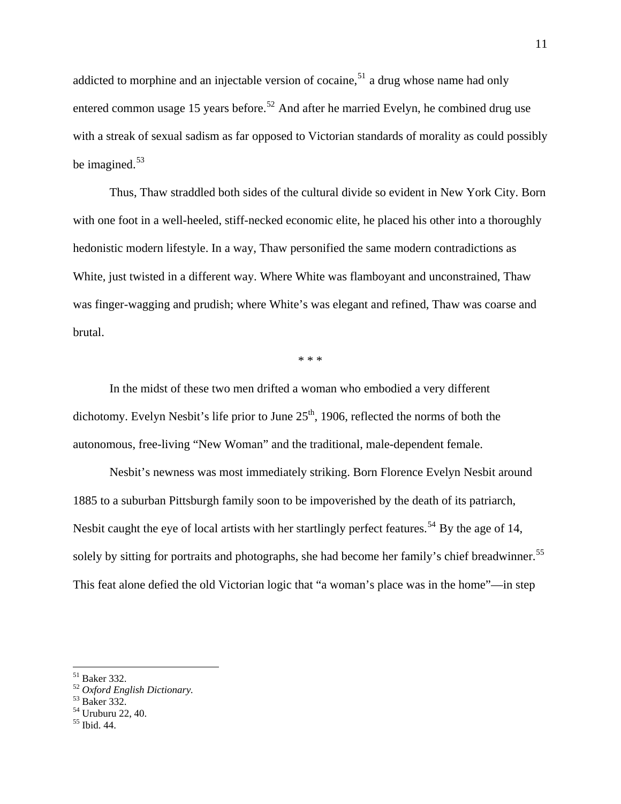addicted to morphine and an injectable version of cocaine,<sup>[51](#page-10-0)</sup> a drug whose name had only entered common usage 15 years before.<sup>[52](#page-10-1)</sup> And after he married Evelyn, he combined drug use with a streak of sexual sadism as far opposed to Victorian standards of morality as could possibly be imagined.<sup>[53](#page-10-2)</sup>

Thus, Thaw straddled both sides of the cultural divide so evident in New York City. Born with one foot in a well-heeled, stiff-necked economic elite, he placed his other into a thoroughly hedonistic modern lifestyle. In a way, Thaw personified the same modern contradictions as White, just twisted in a different way. Where White was flamboyant and unconstrained, Thaw was finger-wagging and prudish; where White's was elegant and refined, Thaw was coarse and brutal.

\* \* \*

 In the midst of these two men drifted a woman who embodied a very different dichotomy. Evelyn Nesbit's life prior to June  $25<sup>th</sup>$ , 1906, reflected the norms of both the autonomous, free-living "New Woman" and the traditional, male-dependent female.

 Nesbit's newness was most immediately striking. Born Florence Evelyn Nesbit around 1885 to a suburban Pittsburgh family soon to be impoverished by the death of its patriarch, Nesbit caught the eye of local artists with her startlingly perfect features.<sup>[54](#page-10-3)</sup> By the age of 14, solely by sitting for portraits and photographs, she had become her family's chief breadwinner.<sup>[55](#page-10-4)</sup> This feat alone defied the old Victorian logic that "a woman's place was in the home"—in step

1

<span id="page-10-0"></span><sup>51</sup> Baker 332.

<span id="page-10-1"></span><sup>&</sup>lt;sup>52</sup> *Oxford English Dictionary.*<br><sup>53</sup> Baker 332.

<span id="page-10-2"></span>

<span id="page-10-4"></span><span id="page-10-3"></span><sup>54</sup> Uruburu 22, 40.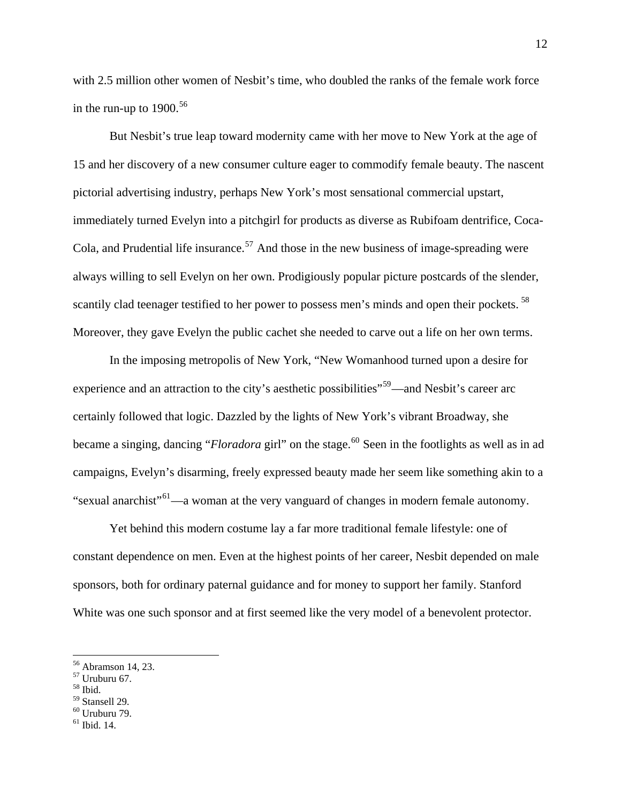with 2.5 million other women of Nesbit's time, who doubled the ranks of the female work force in the run-up to  $1900^{56}$  $1900^{56}$  $1900^{56}$ 

But Nesbit's true leap toward modernity came with her move to New York at the age of 15 and her discovery of a new consumer culture eager to commodify female beauty. The nascent pictorial advertising industry, perhaps New York's most sensational commercial upstart, immediately turned Evelyn into a pitchgirl for products as diverse as Rubifoam dentrifice, Coca-Cola, and Prudential life insurance.<sup>[57](#page-11-1)</sup> And those in the new business of image-spreading were always willing to sell Evelyn on her own. Prodigiously popular picture postcards of the slender, scantily clad teenager testified to her power to possess men's minds and open their pockets.<sup>[58](#page-11-2)</sup> Moreover, they gave Evelyn the public cachet she needed to carve out a life on her own terms.

In the imposing metropolis of New York, "New Womanhood turned upon a desire for experience and an attraction to the city's aesthetic possibilities"<sup>[59](#page-11-3)</sup>—and Nesbit's career arc certainly followed that logic. Dazzled by the lights of New York's vibrant Broadway, she became a singing, dancing "*Floradora* girl" on the stage.<sup>[60](#page-11-4)</sup> Seen in the footlights as well as in ad campaigns, Evelyn's disarming, freely expressed beauty made her seem like something akin to a "sexual anarchist"<sup>[61](#page-11-5)</sup>—a woman at the very vanguard of changes in modern female autonomy.

Yet behind this modern costume lay a far more traditional female lifestyle: one of constant dependence on men. Even at the highest points of her career, Nesbit depended on male sponsors, both for ordinary paternal guidance and for money to support her family. Stanford White was one such sponsor and at first seemed like the very model of a benevolent protector.

 $\overline{a}$ 

<span id="page-11-3"></span>59 Stansell 29.

<span id="page-11-0"></span><sup>56</sup> Abramson 14, 23.

<span id="page-11-1"></span><sup>57</sup> Uruburu 67.

<span id="page-11-2"></span> $58$  Ibid.

<span id="page-11-4"></span> $60$  Uruburu 79.

<span id="page-11-5"></span><sup>61</sup> Ibid. 14.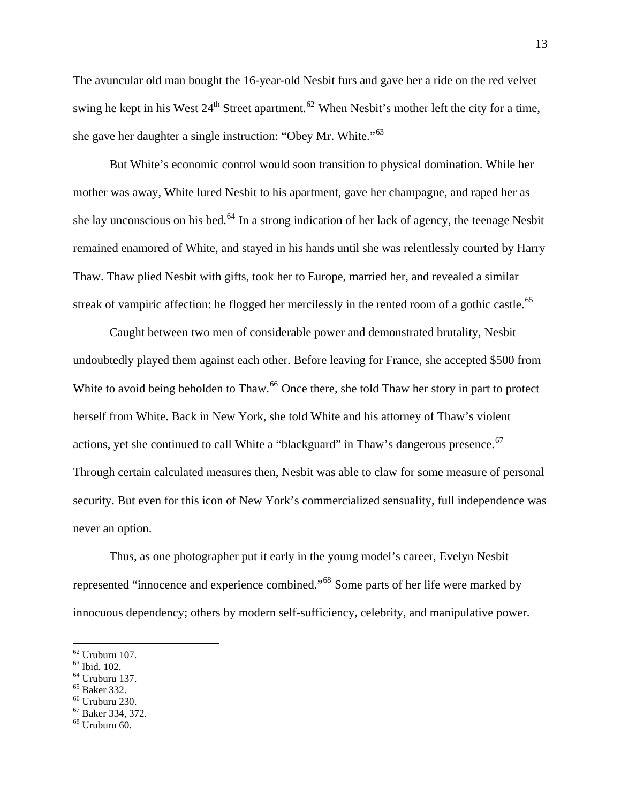The avuncular old man bought the 16-year-old Nesbit furs and gave her a ride on the red velvet swing he kept in his West  $24^{th}$  Street apartment.<sup>[62](#page-12-0)</sup> When Nesbit's mother left the city for a time, she gave her daughter a single instruction: "Obey Mr. White."<sup>[63](#page-12-1)</sup>

But White's economic control would soon transition to physical domination. While her mother was away, White lured Nesbit to his apartment, gave her champagne, and raped her as she lay unconscious on his bed.<sup>[64](#page-12-2)</sup> In a strong indication of her lack of agency, the teenage Nesbit remained enamored of White, and stayed in his hands until she was relentlessly courted by Harry Thaw. Thaw plied Nesbit with gifts, took her to Europe, married her, and revealed a similar streak of vampiric affection: he flogged her mercilessly in the rented room of a gothic castle.<sup>[65](#page-12-3)</sup>

Caught between two men of considerable power and demonstrated brutality, Nesbit undoubtedly played them against each other. Before leaving for France, she accepted \$500 from White to avoid being beholden to Thaw.<sup>[66](#page-12-4)</sup> Once there, she told Thaw her story in part to protect herself from White. Back in New York, she told White and his attorney of Thaw's violent actions, yet she continued to call White a "blackguard" in Thaw's dangerous presence.<sup>[67](#page-12-5)</sup> Through certain calculated measures then, Nesbit was able to claw for some measure of personal security. But even for this icon of New York's commercialized sensuality, full independence was never an option.

 Thus, as one photographer put it early in the young model's career, Evelyn Nesbit represented "innocence and experience combined."[68](#page-12-6) Some parts of her life were marked by innocuous dependency; others by modern self-sufficiency, celebrity, and manipulative power.

 $\overline{a}$ 

<span id="page-12-3"></span><sup>65</sup> Baker 332.

- <span id="page-12-5"></span>67 Baker 334, 372.
- <span id="page-12-6"></span>68 Uruburu 60.

<span id="page-12-0"></span> $62$  Uruburu 107.

<span id="page-12-1"></span><sup>63</sup> Ibid. 102.

<span id="page-12-2"></span> $64$  Uruburu 137.

<span id="page-12-4"></span><sup>66</sup> Uruburu 230.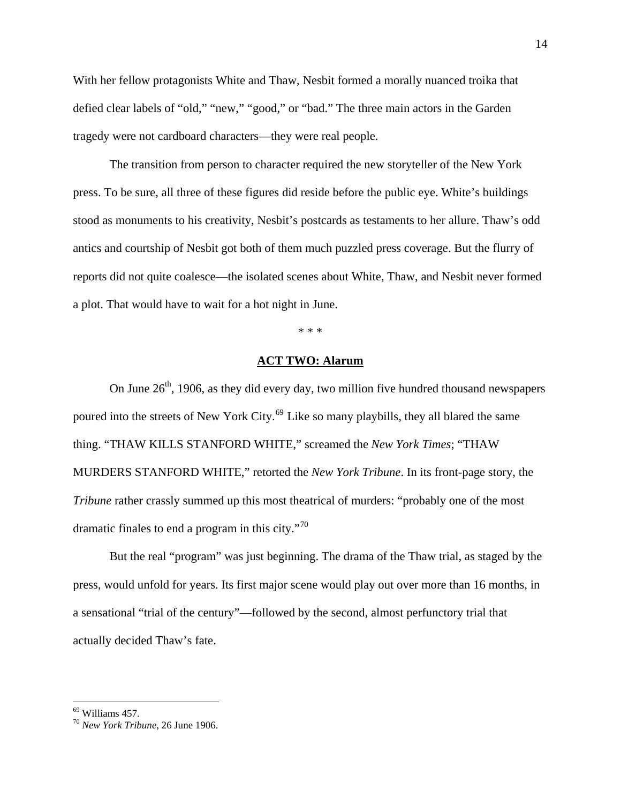With her fellow protagonists White and Thaw, Nesbit formed a morally nuanced troika that defied clear labels of "old," "new," "good," or "bad." The three main actors in the Garden tragedy were not cardboard characters—they were real people.

The transition from person to character required the new storyteller of the New York press. To be sure, all three of these figures did reside before the public eye. White's buildings stood as monuments to his creativity, Nesbit's postcards as testaments to her allure. Thaw's odd antics and courtship of Nesbit got both of them much puzzled press coverage. But the flurry of reports did not quite coalesce—the isolated scenes about White, Thaw, and Nesbit never formed a plot. That would have to wait for a hot night in June.

\* \* \*

## **ACT TWO: Alarum**

On June  $26<sup>th</sup>$ , 1906, as they did every day, two million five hundred thousand newspapers poured into the streets of New York City.<sup>[69](#page-13-0)</sup> Like so many playbills, they all blared the same thing. "THAW KILLS STANFORD WHITE," screamed the *New York Times*; "THAW MURDERS STANFORD WHITE," retorted the *New York Tribune*. In its front-page story, the *Tribune* rather crassly summed up this most theatrical of murders: "probably one of the most dramatic finales to end a program in this city. $170$  $170$ 

But the real "program" was just beginning. The drama of the Thaw trial, as staged by the press, would unfold for years. Its first major scene would play out over more than 16 months, in a sensational "trial of the century"—followed by the second, almost perfunctory trial that actually decided Thaw's fate.

<span id="page-13-0"></span> $69$  Williams 457.

<span id="page-13-1"></span><sup>70</sup> *New York Tribune*, 26 June 1906.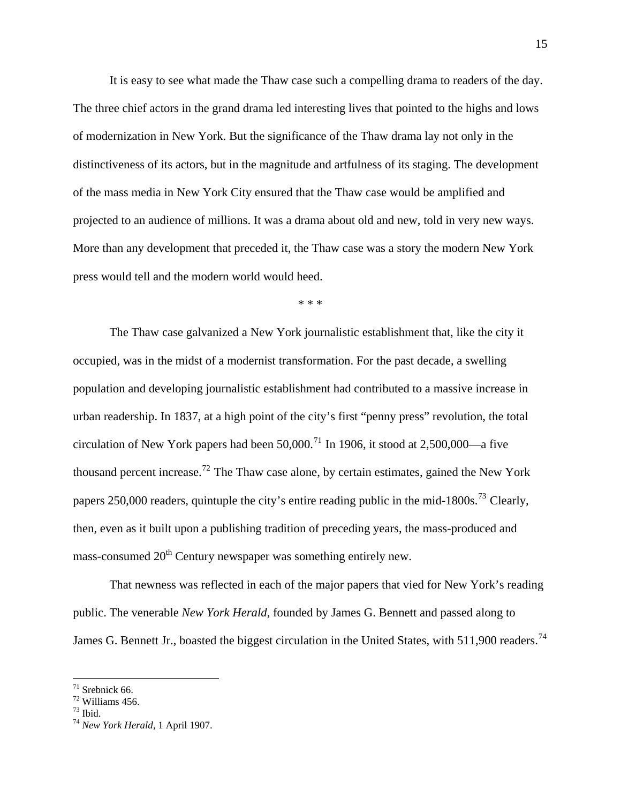It is easy to see what made the Thaw case such a compelling drama to readers of the day. The three chief actors in the grand drama led interesting lives that pointed to the highs and lows of modernization in New York. But the significance of the Thaw drama lay not only in the distinctiveness of its actors, but in the magnitude and artfulness of its staging. The development of the mass media in New York City ensured that the Thaw case would be amplified and projected to an audience of millions. It was a drama about old and new, told in very new ways. More than any development that preceded it, the Thaw case was a story the modern New York press would tell and the modern world would heed.

\* \* \*

The Thaw case galvanized a New York journalistic establishment that, like the city it occupied, was in the midst of a modernist transformation. For the past decade, a swelling population and developing journalistic establishment had contributed to a massive increase in urban readership. In 1837, at a high point of the city's first "penny press" revolution, the total circulation of New York papers had been  $50,000$ .<sup>[71](#page-14-0)</sup> In 1906, it stood at 2,500,000—a five thousand percent increase.[72](#page-14-1) The Thaw case alone, by certain estimates, gained the New York papers 250,000 readers, quintuple the city's entire reading public in the mid-1800s.<sup>[73](#page-14-2)</sup> Clearly, then, even as it built upon a publishing tradition of preceding years, the mass-produced and mass-consumed 20<sup>th</sup> Century newspaper was something entirely new.

That newness was reflected in each of the major papers that vied for New York's reading public. The venerable *New York Herald*, founded by James G. Bennett and passed along to James G. Bennett Jr., boasted the biggest circulation in the United States, with 511,900 readers.<sup>[74](#page-14-3)</sup>

<span id="page-14-0"></span> $71$  Srebnick 66.

<span id="page-14-1"></span> $72$  Williams 456.

<span id="page-14-2"></span> $73$  Ibid.

<span id="page-14-3"></span><sup>74</sup> *New York Herald*, 1 April 1907.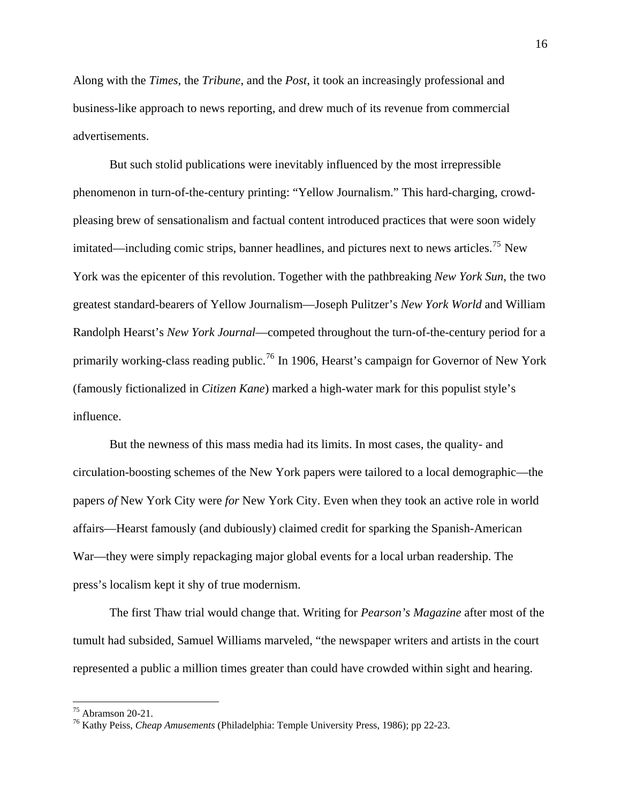Along with the *Times*, the *Tribune*, and the *Post*, it took an increasingly professional and business-like approach to news reporting, and drew much of its revenue from commercial advertisements.

But such stolid publications were inevitably influenced by the most irrepressible phenomenon in turn-of-the-century printing: "Yellow Journalism." This hard-charging, crowdpleasing brew of sensationalism and factual content introduced practices that were soon widely imitated—including comic strips, banner headlines, and pictures next to news articles.<sup>[75](#page-15-0)</sup> New York was the epicenter of this revolution. Together with the pathbreaking *New York Sun*, the two greatest standard-bearers of Yellow Journalism—Joseph Pulitzer's *New York World* and William Randolph Hearst's *New York Journal*—competed throughout the turn-of-the-century period for a primarily working-class reading public.<sup>[76](#page-15-1)</sup> In 1906, Hearst's campaign for Governor of New York (famously fictionalized in *Citizen Kane*) marked a high-water mark for this populist style's influence.

But the newness of this mass media had its limits. In most cases, the quality- and circulation-boosting schemes of the New York papers were tailored to a local demographic—the papers *of* New York City were *for* New York City. Even when they took an active role in world affairs—Hearst famously (and dubiously) claimed credit for sparking the Spanish-American War—they were simply repackaging major global events for a local urban readership. The press's localism kept it shy of true modernism.

 The first Thaw trial would change that. Writing for *Pearson's Magazine* after most of the tumult had subsided, Samuel Williams marveled, "the newspaper writers and artists in the court represented a public a million times greater than could have crowded within sight and hearing.

1

<span id="page-15-0"></span> $75$  Abramson 20-21.

<span id="page-15-1"></span><sup>76</sup> Kathy Peiss, *Cheap Amusements* (Philadelphia: Temple University Press, 1986); pp 22-23.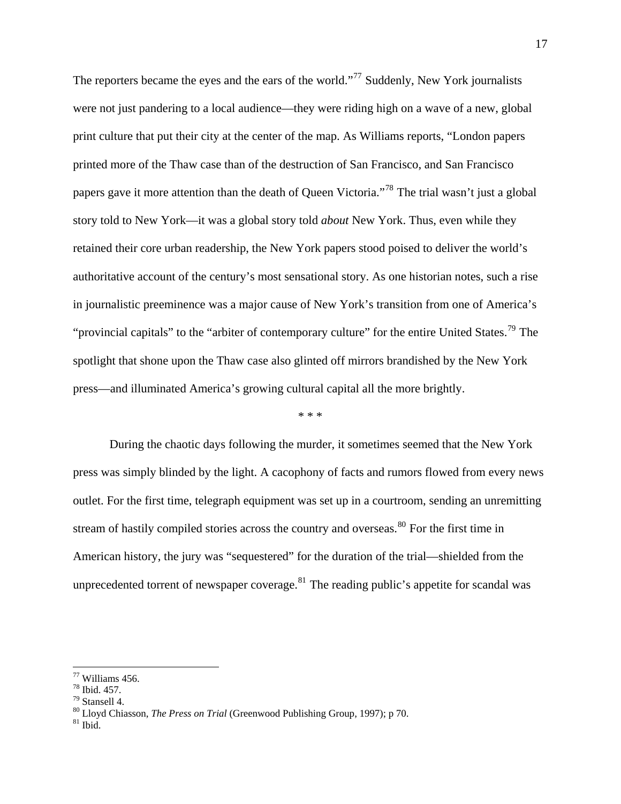The reporters became the eyes and the ears of the world."<sup>[77](#page-16-0)</sup> Suddenly, New York journalists were not just pandering to a local audience—they were riding high on a wave of a new, global print culture that put their city at the center of the map. As Williams reports, "London papers printed more of the Thaw case than of the destruction of San Francisco, and San Francisco papers gave it more attention than the death of Queen Victoria."<sup>[78](#page-16-1)</sup> The trial wasn't just a global story told to New York—it was a global story told *about* New York. Thus, even while they retained their core urban readership, the New York papers stood poised to deliver the world's authoritative account of the century's most sensational story. As one historian notes, such a rise in journalistic preeminence was a major cause of New York's transition from one of America's "provincial capitals" to the "arbiter of contemporary culture" for the entire United States.<sup>[79](#page-16-2)</sup> The spotlight that shone upon the Thaw case also glinted off mirrors brandished by the New York press—and illuminated America's growing cultural capital all the more brightly.

\* \* \*

During the chaotic days following the murder, it sometimes seemed that the New York press was simply blinded by the light. A cacophony of facts and rumors flowed from every news outlet. For the first time, telegraph equipment was set up in a courtroom, sending an unremitting stream of hastily compiled stories across the country and overseas.<sup>[80](#page-16-3)</sup> For the first time in American history, the jury was "sequestered" for the duration of the trial—shielded from the unprecedented torrent of newspaper coverage. $81$  The reading public's appetite for scandal was

1

<span id="page-16-0"></span><sup>77</sup> Williams 456.

<span id="page-16-1"></span><sup>78</sup> Ibid. 457.

<span id="page-16-2"></span> $79$  Stansell 4.

<span id="page-16-4"></span><span id="page-16-3"></span><sup>80</sup> Lloyd Chiasson, *The Press on Trial* (Greenwood Publishing Group, 1997); p 70. 81 Ibid.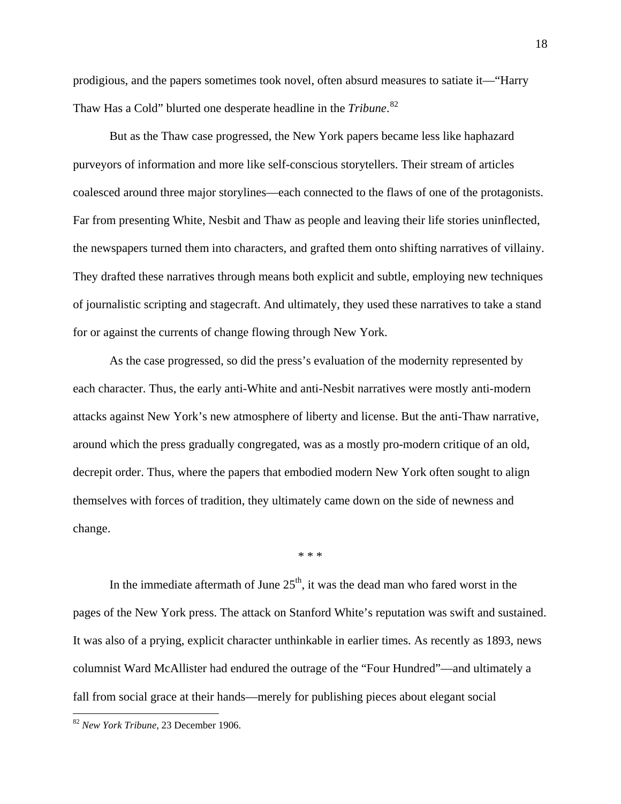prodigious, and the papers sometimes took novel, often absurd measures to satiate it—"Harry Thaw Has a Cold" blurted one desperate headline in the *Tribune*. [82](#page-17-0)

But as the Thaw case progressed, the New York papers became less like haphazard purveyors of information and more like self-conscious storytellers. Their stream of articles coalesced around three major storylines—each connected to the flaws of one of the protagonists. Far from presenting White, Nesbit and Thaw as people and leaving their life stories uninflected, the newspapers turned them into characters, and grafted them onto shifting narratives of villainy. They drafted these narratives through means both explicit and subtle, employing new techniques of journalistic scripting and stagecraft. And ultimately, they used these narratives to take a stand for or against the currents of change flowing through New York.

As the case progressed, so did the press's evaluation of the modernity represented by each character. Thus, the early anti-White and anti-Nesbit narratives were mostly anti-modern attacks against New York's new atmosphere of liberty and license. But the anti-Thaw narrative, around which the press gradually congregated, was as a mostly pro-modern critique of an old, decrepit order. Thus, where the papers that embodied modern New York often sought to align themselves with forces of tradition, they ultimately came down on the side of newness and change.

\* \* \*

In the immediate aftermath of June  $25<sup>th</sup>$ , it was the dead man who fared worst in the pages of the New York press. The attack on Stanford White's reputation was swift and sustained. It was also of a prying, explicit character unthinkable in earlier times. As recently as 1893, news columnist Ward McAllister had endured the outrage of the "Four Hundred"—and ultimately a fall from social grace at their hands—merely for publishing pieces about elegant social

<u>.</u>

<span id="page-17-0"></span><sup>82</sup> *New York Tribune*, 23 December 1906.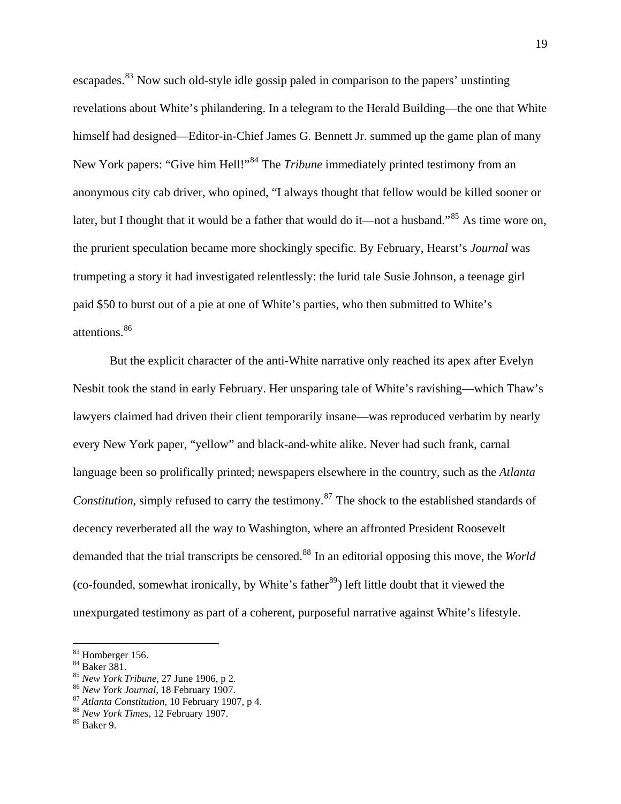escapades.<sup>[83](#page-18-0)</sup> Now such old-style idle gossip paled in comparison to the papers' unstinting revelations about White's philandering. In a telegram to the Herald Building—the one that White himself had designed—Editor-in-Chief James G. Bennett Jr. summed up the game plan of many New York papers: "Give him Hell!"<sup>[84](#page-18-1)</sup> The *Tribune* immediately printed testimony from an anonymous city cab driver, who opined, "I always thought that fellow would be killed sooner or later, but I thought that it would be a father that would do it—not a husband."<sup>[85](#page-18-2)</sup> As time wore on, the prurient speculation became more shockingly specific. By February, Hearst's *Journal* was trumpeting a story it had investigated relentlessly: the lurid tale Susie Johnson, a teenage girl paid \$50 to burst out of a pie at one of White's parties, who then submitted to White's attentions.[86](#page-18-3)

 But the explicit character of the anti-White narrative only reached its apex after Evelyn Nesbit took the stand in early February. Her unsparing tale of White's ravishing—which Thaw's lawyers claimed had driven their client temporarily insane—was reproduced verbatim by nearly every New York paper, "yellow" and black-and-white alike. Never had such frank, carnal language been so prolifically printed; newspapers elsewhere in the country, such as the *Atlanta Constitution*, simply refused to carry the testimony.<sup>[87](#page-18-4)</sup> The shock to the established standards of decency reverberated all the way to Washington, where an affronted President Roosevelt demanded that the trial transcripts be censored.<sup>[88](#page-18-5)</sup> In an editorial opposing this move, the *World* (co-founded, somewhat ironically, by White's father<sup>[89](#page-18-6)</sup>) left little doubt that it viewed the unexpurgated testimony as part of a coherent, purposeful narrative against White's lifestyle.

<span id="page-18-0"></span><sup>83</sup> Homberger 156.

<span id="page-18-1"></span> $^{84}$  Baker 381.<br> $^{85}$  *New York Tribune*, 27 June 1906, p 2.

<span id="page-18-4"></span>

<span id="page-18-3"></span><span id="page-18-2"></span><sup>&</sup>lt;sup>86</sup> *New York Journal*, 18 February 1907.<br><sup>87</sup> *Atlanta Constitution*, 10 February 1907, p 4. 88 *New York Times*, 12 February 1907.

<span id="page-18-6"></span><span id="page-18-5"></span><sup>89</sup> Baker 9.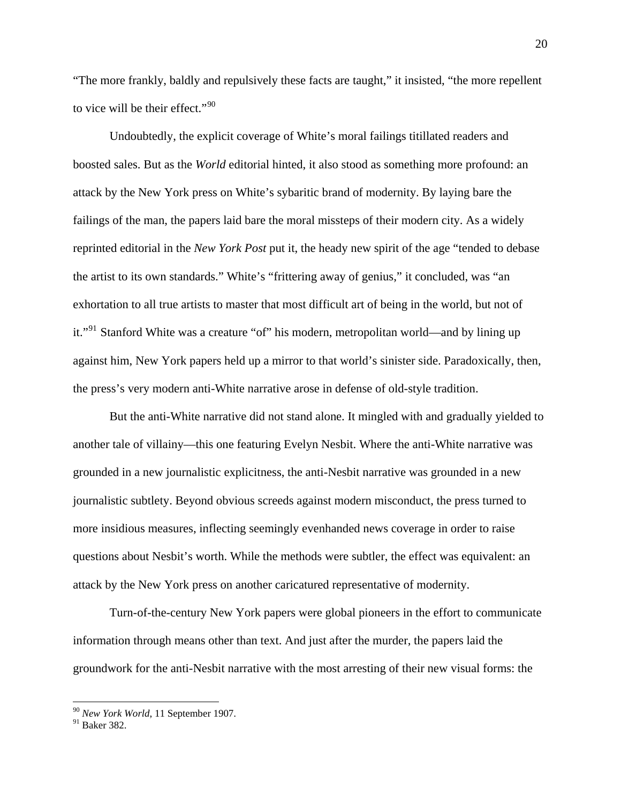"The more frankly, baldly and repulsively these facts are taught," it insisted, "the more repellent to vice will be their effect."[90](#page-19-0)

 Undoubtedly, the explicit coverage of White's moral failings titillated readers and boosted sales. But as the *World* editorial hinted, it also stood as something more profound: an attack by the New York press on White's sybaritic brand of modernity. By laying bare the failings of the man, the papers laid bare the moral missteps of their modern city. As a widely reprinted editorial in the *New York Post* put it, the heady new spirit of the age "tended to debase the artist to its own standards." White's "frittering away of genius," it concluded, was "an exhortation to all true artists to master that most difficult art of being in the world, but not of it."<sup>[91](#page-19-1)</sup> Stanford White was a creature "of" his modern, metropolitan world—and by lining up against him, New York papers held up a mirror to that world's sinister side. Paradoxically, then, the press's very modern anti-White narrative arose in defense of old-style tradition.

 But the anti-White narrative did not stand alone. It mingled with and gradually yielded to another tale of villainy—this one featuring Evelyn Nesbit. Where the anti-White narrative was grounded in a new journalistic explicitness, the anti-Nesbit narrative was grounded in a new journalistic subtlety. Beyond obvious screeds against modern misconduct, the press turned to more insidious measures, inflecting seemingly evenhanded news coverage in order to raise questions about Nesbit's worth. While the methods were subtler, the effect was equivalent: an attack by the New York press on another caricatured representative of modernity.

Turn-of-the-century New York papers were global pioneers in the effort to communicate information through means other than text. And just after the murder, the papers laid the groundwork for the anti-Nesbit narrative with the most arresting of their new visual forms: the

<sup>90</sup> *New York World*, 11 September 1907.

<span id="page-19-1"></span><span id="page-19-0"></span><sup>&</sup>lt;sup>91</sup> Baker 382.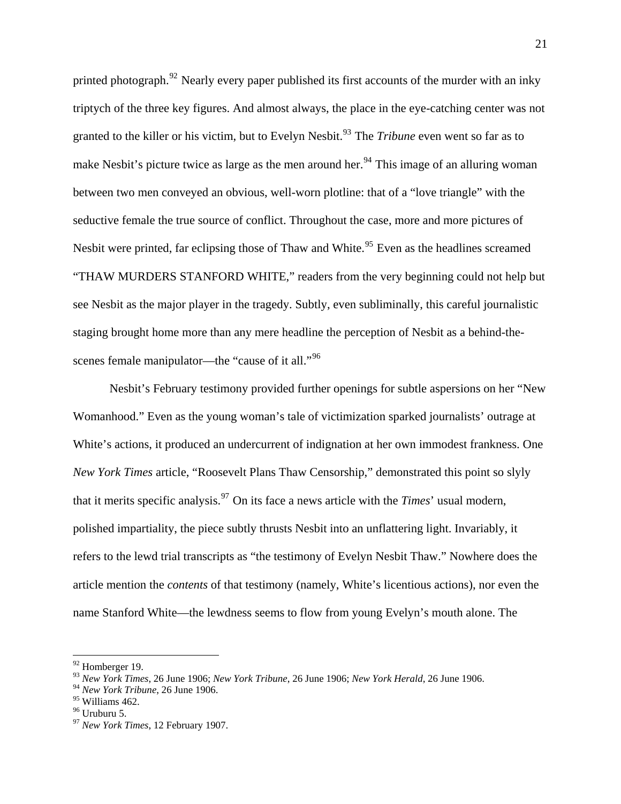printed photograph.<sup>[92](#page-20-0)</sup> Nearly every paper published its first accounts of the murder with an inky triptych of the three key figures. And almost always, the place in the eye-catching center was not granted to the killer or his victim, but to Evelyn Nesbit.<sup>[93](#page-20-1)</sup> The *Tribune* even went so far as to make Nesbit's picture twice as large as the men around her.<sup>[94](#page-20-2)</sup> This image of an alluring woman between two men conveyed an obvious, well-worn plotline: that of a "love triangle" with the seductive female the true source of conflict. Throughout the case, more and more pictures of Nesbit were printed, far eclipsing those of Thaw and White.<sup>[95](#page-20-3)</sup> Even as the headlines screamed "THAW MURDERS STANFORD WHITE," readers from the very beginning could not help but see Nesbit as the major player in the tragedy. Subtly, even subliminally, this careful journalistic staging brought home more than any mere headline the perception of Nesbit as a behind-the-scenes female manipulator—the "cause of it all."<sup>[96](#page-20-4)</sup>

 Nesbit's February testimony provided further openings for subtle aspersions on her "New Womanhood." Even as the young woman's tale of victimization sparked journalists' outrage at White's actions, it produced an undercurrent of indignation at her own immodest frankness. One *New York Times* article, "Roosevelt Plans Thaw Censorship," demonstrated this point so slyly that it merits specific analysis.[97](#page-20-5) On its face a news article with the *Times*' usual modern, polished impartiality, the piece subtly thrusts Nesbit into an unflattering light. Invariably, it refers to the lewd trial transcripts as "the testimony of Evelyn Nesbit Thaw." Nowhere does the article mention the *contents* of that testimony (namely, White's licentious actions), nor even the name Stanford White—the lewdness seems to flow from young Evelyn's mouth alone. The

<span id="page-20-0"></span><sup>92</sup> Homberger 19.

<span id="page-20-1"></span><sup>93</sup> *New York Times*, 26 June 1906; *New York Tribune*, 26 June 1906; *New York Herald*, 26 June 1906.

<span id="page-20-2"></span><sup>94</sup> *New York Tribune*, 26 June 1906.

<span id="page-20-3"></span><sup>&</sup>lt;sup>95</sup> Williams 462.

<span id="page-20-4"></span><sup>96</sup> Uruburu 5.

<span id="page-20-5"></span><sup>97</sup> *New York Times*, 12 February 1907.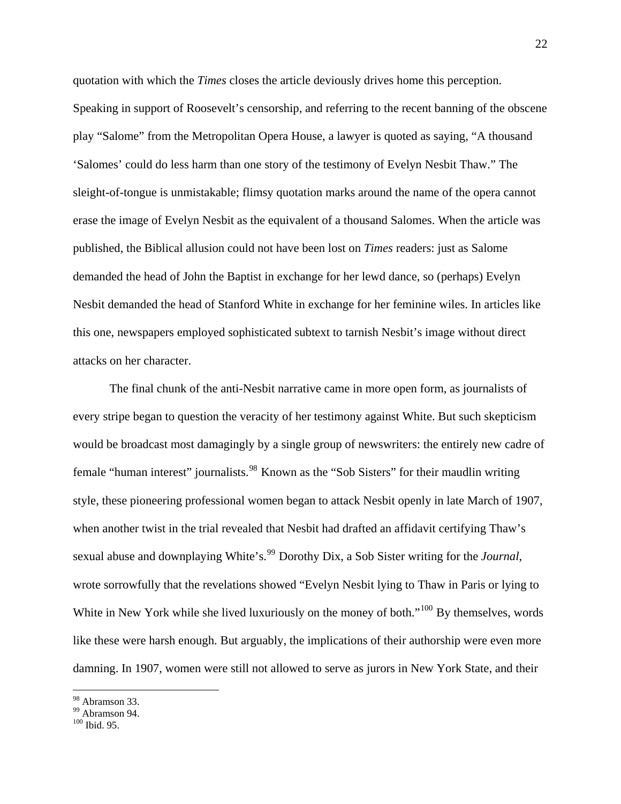quotation with which the *Times* closes the article deviously drives home this perception. Speaking in support of Roosevelt's censorship, and referring to the recent banning of the obscene play "Salome" from the Metropolitan Opera House, a lawyer is quoted as saying, "A thousand 'Salomes' could do less harm than one story of the testimony of Evelyn Nesbit Thaw." The sleight-of-tongue is unmistakable; flimsy quotation marks around the name of the opera cannot erase the image of Evelyn Nesbit as the equivalent of a thousand Salomes. When the article was published, the Biblical allusion could not have been lost on *Times* readers: just as Salome demanded the head of John the Baptist in exchange for her lewd dance, so (perhaps) Evelyn Nesbit demanded the head of Stanford White in exchange for her feminine wiles. In articles like this one, newspapers employed sophisticated subtext to tarnish Nesbit's image without direct attacks on her character.

 The final chunk of the anti-Nesbit narrative came in more open form, as journalists of every stripe began to question the veracity of her testimony against White. But such skepticism would be broadcast most damagingly by a single group of newswriters: the entirely new cadre of female "human interest" journalists.<sup>[98](#page-21-0)</sup> Known as the "Sob Sisters" for their maudlin writing style, these pioneering professional women began to attack Nesbit openly in late March of 1907, when another twist in the trial revealed that Nesbit had drafted an affidavit certifying Thaw's sexual abuse and downplaying White's.<sup>[99](#page-21-1)</sup> Dorothy Dix, a Sob Sister writing for the *Journal*, wrote sorrowfully that the revelations showed "Evelyn Nesbit lying to Thaw in Paris or lying to White in New York while she lived luxuriously on the money of both."<sup>[100](#page-21-2)</sup> By themselves, words like these were harsh enough. But arguably, the implications of their authorship were even more damning. In 1907, women were still not allowed to serve as jurors in New York State, and their

1

<span id="page-21-0"></span><sup>98</sup> Abramson 33.

<span id="page-21-1"></span><sup>&</sup>lt;sup>99</sup> Abramson 94.

<span id="page-21-2"></span><sup>100</sup> Ibid. 95.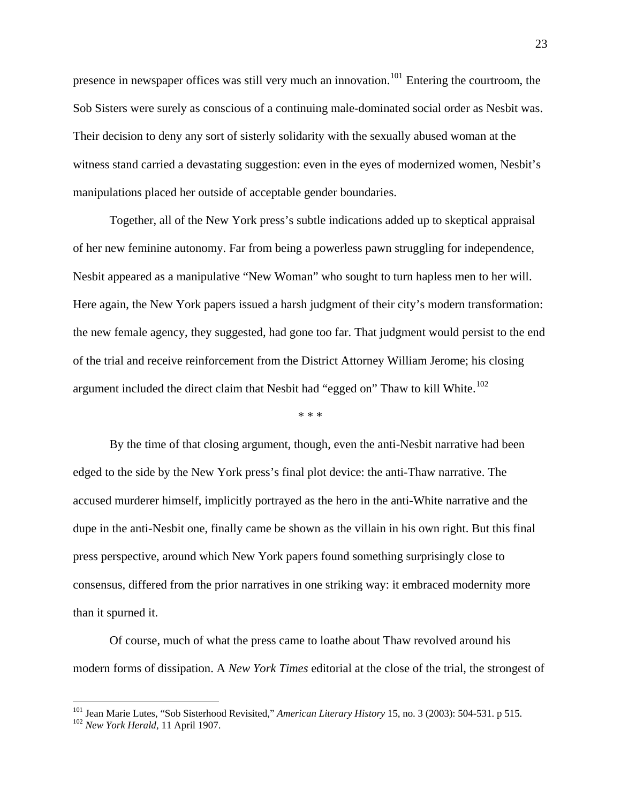presence in newspaper offices was still very much an innovation.<sup>[101](#page-22-0)</sup> Entering the courtroom, the Sob Sisters were surely as conscious of a continuing male-dominated social order as Nesbit was. Their decision to deny any sort of sisterly solidarity with the sexually abused woman at the witness stand carried a devastating suggestion: even in the eyes of modernized women, Nesbit's manipulations placed her outside of acceptable gender boundaries.

 Together, all of the New York press's subtle indications added up to skeptical appraisal of her new feminine autonomy. Far from being a powerless pawn struggling for independence, Nesbit appeared as a manipulative "New Woman" who sought to turn hapless men to her will. Here again, the New York papers issued a harsh judgment of their city's modern transformation: the new female agency, they suggested, had gone too far. That judgment would persist to the end of the trial and receive reinforcement from the District Attorney William Jerome; his closing argument included the direct claim that Nesbit had "egged on" Thaw to kill White.<sup>[102](#page-22-1)</sup>

\* \* \*

 By the time of that closing argument, though, even the anti-Nesbit narrative had been edged to the side by the New York press's final plot device: the anti-Thaw narrative. The accused murderer himself, implicitly portrayed as the hero in the anti-White narrative and the dupe in the anti-Nesbit one, finally came be shown as the villain in his own right. But this final press perspective, around which New York papers found something surprisingly close to consensus, differed from the prior narratives in one striking way: it embraced modernity more than it spurned it.

 Of course, much of what the press came to loathe about Thaw revolved around his modern forms of dissipation. A *New York Times* editorial at the close of the trial, the strongest of

1

<span id="page-22-0"></span><sup>&</sup>lt;sup>101</sup> Jean Marie Lutes, "Sob Sisterhood Revisited," *American Literary History* 15, no. 3 (2003): 504-531. p 515. <sup>102</sup> *New York Herald*, 11 April 1907.

<span id="page-22-1"></span>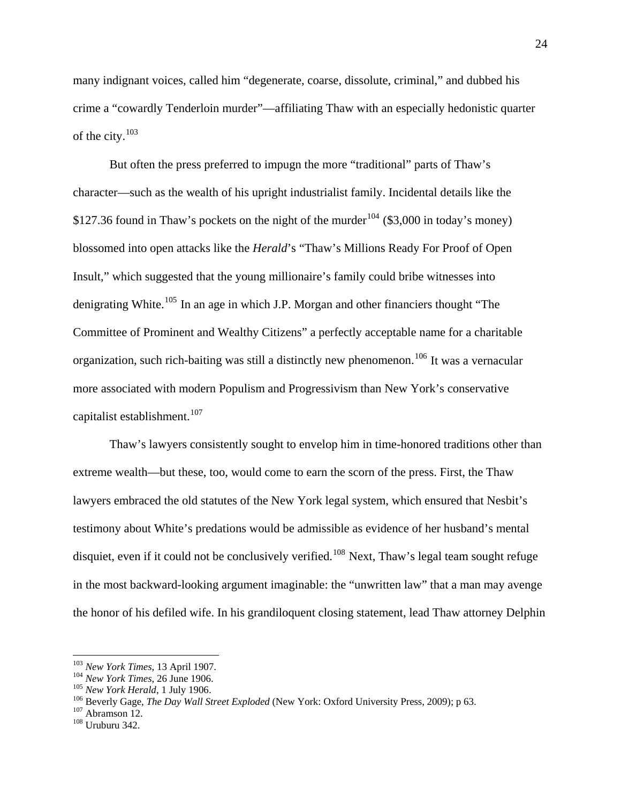many indignant voices, called him "degenerate, coarse, dissolute, criminal," and dubbed his crime a "cowardly Tenderloin murder"—affiliating Thaw with an especially hedonistic quarter of the city.<sup>[103](#page-23-0)</sup>

 But often the press preferred to impugn the more "traditional" parts of Thaw's character—such as the wealth of his upright industrialist family. Incidental details like the \$127.36 found in Thaw's pockets on the night of the murder<sup>[104](#page-23-1)</sup> (\$3,000 in today's money) blossomed into open attacks like the *Herald*'s "Thaw's Millions Ready For Proof of Open Insult," which suggested that the young millionaire's family could bribe witnesses into denigrating White.<sup>[105](#page-23-2)</sup> In an age in which J.P. Morgan and other financiers thought "The Committee of Prominent and Wealthy Citizens" a perfectly acceptable name for a charitable organization, such rich-baiting was still a distinctly new phenomenon.<sup>[106](#page-23-3)</sup> It was a vernacular more associated with modern Populism and Progressivism than New York's conservative capitalist establishment. $107$ 

Thaw's lawyers consistently sought to envelop him in time-honored traditions other than extreme wealth—but these, too, would come to earn the scorn of the press. First, the Thaw lawyers embraced the old statutes of the New York legal system, which ensured that Nesbit's testimony about White's predations would be admissible as evidence of her husband's mental disquiet, even if it could not be conclusively verified.<sup>[108](#page-23-5)</sup> Next, Thaw's legal team sought refuge in the most backward-looking argument imaginable: the "unwritten law" that a man may avenge the honor of his defiled wife. In his grandiloquent closing statement, lead Thaw attorney Delphin

<span id="page-23-0"></span> $103$  New York Times, 13 April 1907.

<span id="page-23-3"></span>

<span id="page-23-2"></span><span id="page-23-1"></span><sup>&</sup>lt;sup>104</sup> New York Times, 26 June 1906.<br><sup>105</sup> New York Herald, 1 July 1906.<br><sup>106</sup> Beverly Gage, *The Day Wall Street Exploded* (New York: Oxford University Press, 2009); p 63.<br><sup>107</sup> Abramson 12.<br><sup>107</sup> Uruburu 342.

<span id="page-23-4"></span>

<span id="page-23-5"></span>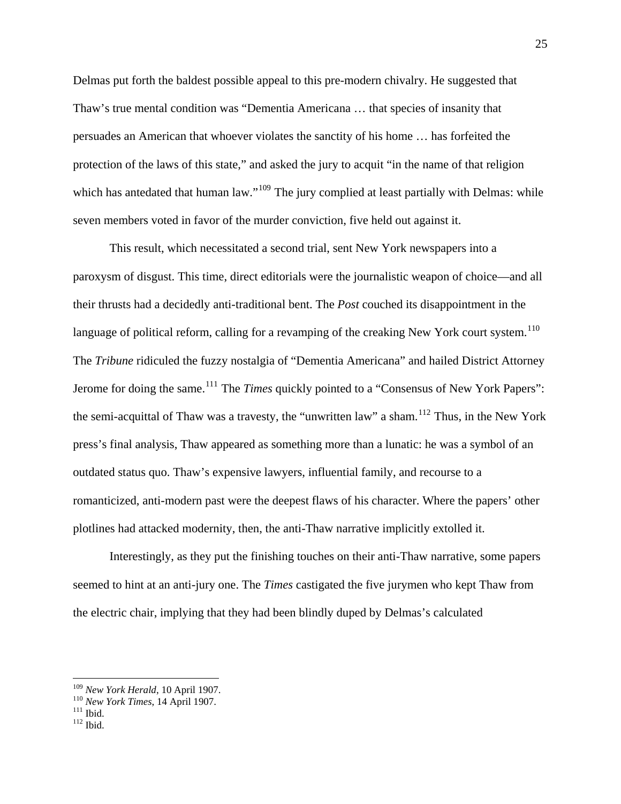Delmas put forth the baldest possible appeal to this pre-modern chivalry. He suggested that Thaw's true mental condition was "Dementia Americana … that species of insanity that persuades an American that whoever violates the sanctity of his home … has forfeited the protection of the laws of this state," and asked the jury to acquit "in the name of that religion which has antedated that human law."<sup>[109](#page-24-0)</sup> The jury complied at least partially with Delmas: while seven members voted in favor of the murder conviction, five held out against it.

This result, which necessitated a second trial, sent New York newspapers into a paroxysm of disgust. This time, direct editorials were the journalistic weapon of choice—and all their thrusts had a decidedly anti-traditional bent. The *Post* couched its disappointment in the language of political reform, calling for a revamping of the creaking New York court system.<sup>[110](#page-24-1)</sup> The *Tribune* ridiculed the fuzzy nostalgia of "Dementia Americana" and hailed District Attorney Jerome for doing the same.<sup>[111](#page-24-2)</sup> The *Times* quickly pointed to a "Consensus of New York Papers": the semi-acquittal of Thaw was a travesty, the "unwritten law" a sham.<sup>[112](#page-24-3)</sup> Thus, in the New York press's final analysis, Thaw appeared as something more than a lunatic: he was a symbol of an outdated status quo. Thaw's expensive lawyers, influential family, and recourse to a romanticized, anti-modern past were the deepest flaws of his character. Where the papers' other plotlines had attacked modernity, then, the anti-Thaw narrative implicitly extolled it.

Interestingly, as they put the finishing touches on their anti-Thaw narrative, some papers seemed to hint at an anti-jury one. The *Times* castigated the five jurymen who kept Thaw from the electric chair, implying that they had been blindly duped by Delmas's calculated

<span id="page-24-1"></span><span id="page-24-0"></span><sup>&</sup>lt;sup>109</sup> *New York Herald*, 10 April 1907.<br><sup>110</sup> *New York Times*, 14 April 1907.<br><sup>111</sup> Ibid. <sup>112</sup> Ibid

<span id="page-24-3"></span><span id="page-24-2"></span>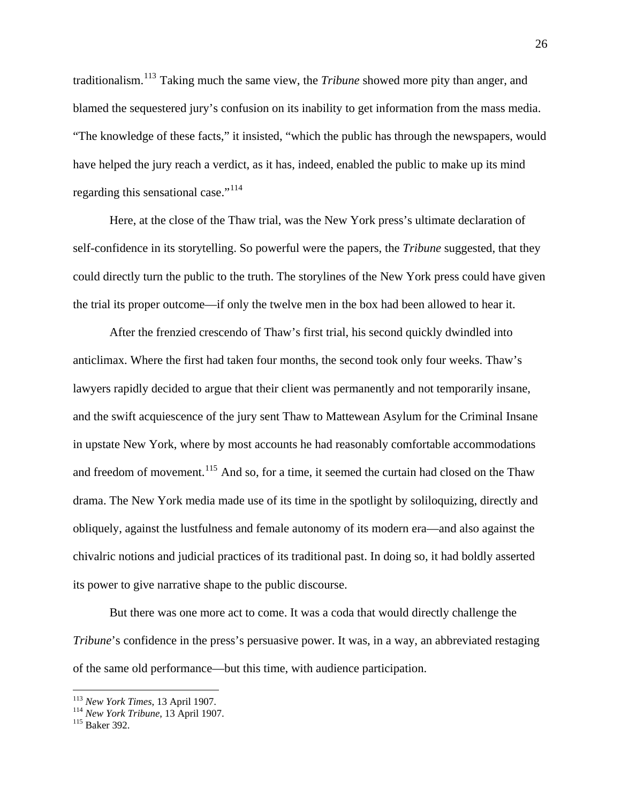traditionalism.[113](#page-25-0) Taking much the same view, the *Tribune* showed more pity than anger, and blamed the sequestered jury's confusion on its inability to get information from the mass media. "The knowledge of these facts," it insisted, "which the public has through the newspapers, would have helped the jury reach a verdict, as it has, indeed, enabled the public to make up its mind regarding this sensational case."<sup>[114](#page-25-1)</sup>

Here, at the close of the Thaw trial, was the New York press's ultimate declaration of self-confidence in its storytelling. So powerful were the papers, the *Tribune* suggested, that they could directly turn the public to the truth. The storylines of the New York press could have given the trial its proper outcome—if only the twelve men in the box had been allowed to hear it.

After the frenzied crescendo of Thaw's first trial, his second quickly dwindled into anticlimax. Where the first had taken four months, the second took only four weeks. Thaw's lawyers rapidly decided to argue that their client was permanently and not temporarily insane, and the swift acquiescence of the jury sent Thaw to Mattewean Asylum for the Criminal Insane in upstate New York, where by most accounts he had reasonably comfortable accommodations and freedom of movement.<sup>[115](#page-25-2)</sup> And so, for a time, it seemed the curtain had closed on the Thaw drama. The New York media made use of its time in the spotlight by soliloquizing, directly and obliquely, against the lustfulness and female autonomy of its modern era—and also against the chivalric notions and judicial practices of its traditional past. In doing so, it had boldly asserted its power to give narrative shape to the public discourse.

 But there was one more act to come. It was a coda that would directly challenge the *Tribune*'s confidence in the press's persuasive power. It was, in a way, an abbreviated restaging of the same old performance—but this time, with audience participation.

1

<span id="page-25-1"></span><span id="page-25-0"></span><sup>113</sup> *New York Times*, 13 April 1907. 114 *New York Tribune*, 13 April 1907. 115 Baker 392.

<span id="page-25-2"></span>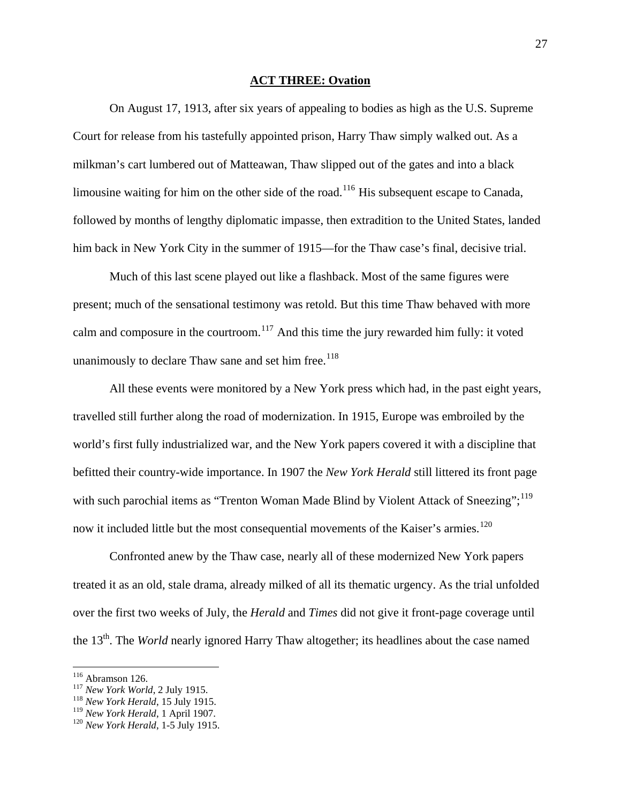### **ACT THREE: Ovation**

 On August 17, 1913, after six years of appealing to bodies as high as the U.S. Supreme Court for release from his tastefully appointed prison, Harry Thaw simply walked out. As a milkman's cart lumbered out of Matteawan, Thaw slipped out of the gates and into a black limousine waiting for him on the other side of the road.<sup>[116](#page-26-0)</sup> His subsequent escape to Canada, followed by months of lengthy diplomatic impasse, then extradition to the United States, landed him back in New York City in the summer of 1915—for the Thaw case's final, decisive trial.

 Much of this last scene played out like a flashback. Most of the same figures were present; much of the sensational testimony was retold. But this time Thaw behaved with more calm and composure in the courtroom.<sup>[117](#page-26-1)</sup> And this time the jury rewarded him fully: it voted unanimously to declare Thaw sane and set him free.<sup>[118](#page-26-2)</sup>

 All these events were monitored by a New York press which had, in the past eight years, travelled still further along the road of modernization. In 1915, Europe was embroiled by the world's first fully industrialized war, and the New York papers covered it with a discipline that befitted their country-wide importance. In 1907 the *New York Herald* still littered its front page with such parochial items as "Trenton Woman Made Blind by Violent Attack of Sneezing";<sup>[119](#page-26-3)</sup> now it included little but the most consequential movements of the Kaiser's armies.<sup>[120](#page-26-4)</sup>

 Confronted anew by the Thaw case, nearly all of these modernized New York papers treated it as an old, stale drama, already milked of all its thematic urgency. As the trial unfolded over the first two weeks of July, the *Herald* and *Times* did not give it front-page coverage until the 13<sup>th</sup>. The *World* nearly ignored Harry Thaw altogether; its headlines about the case named

 $116$  Abramson 126.

<span id="page-26-2"></span>

<span id="page-26-1"></span><span id="page-26-0"></span><sup>&</sup>lt;sup>117</sup> *New York World*, 2 July 1915.<br><sup>118</sup> *New York Herald*, 15 July 1915.<br><sup>119</sup> *New York Herald*, 1 April 1907.

<span id="page-26-3"></span>

<span id="page-26-4"></span><sup>&</sup>lt;sup>120</sup> *New York Herald*, 1-5 July 1915.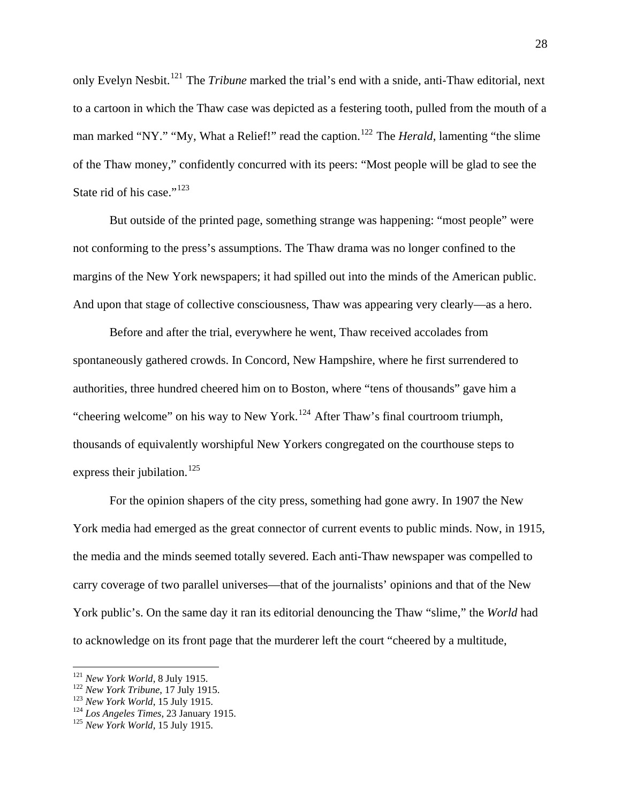only Evelyn Nesbit.[121](#page-27-0) The *Tribune* marked the trial's end with a snide, anti-Thaw editorial, next to a cartoon in which the Thaw case was depicted as a festering tooth, pulled from the mouth of a man marked "NY." "My, What a Relief!" read the caption.<sup>[122](#page-27-1)</sup> The *Herald*, lamenting "the slime" of the Thaw money," confidently concurred with its peers: "Most people will be glad to see the State rid of his case."<sup>[123](#page-27-2)</sup>

 But outside of the printed page, something strange was happening: "most people" were not conforming to the press's assumptions. The Thaw drama was no longer confined to the margins of the New York newspapers; it had spilled out into the minds of the American public. And upon that stage of collective consciousness, Thaw was appearing very clearly—as a hero.

Before and after the trial, everywhere he went, Thaw received accolades from spontaneously gathered crowds. In Concord, New Hampshire, where he first surrendered to authorities, three hundred cheered him on to Boston, where "tens of thousands" gave him a "cheering welcome" on his way to New York.<sup>[124](#page-27-3)</sup> After Thaw's final courtroom triumph, thousands of equivalently worshipful New Yorkers congregated on the courthouse steps to express their jubilation.<sup>[125](#page-27-4)</sup>

For the opinion shapers of the city press, something had gone awry. In 1907 the New York media had emerged as the great connector of current events to public minds. Now, in 1915, the media and the minds seemed totally severed. Each anti-Thaw newspaper was compelled to carry coverage of two parallel universes—that of the journalists' opinions and that of the New York public's. On the same day it ran its editorial denouncing the Thaw "slime," the *World* had to acknowledge on its front page that the murderer left the court "cheered by a multitude,

<sup>&</sup>lt;sup>121</sup> New York World, 8 July 1915.

<span id="page-27-3"></span><span id="page-27-2"></span>

<span id="page-27-1"></span><span id="page-27-0"></span><sup>122</sup> *New York Tribune*, 17 July 1915.<br><sup>123</sup> *New York World*, 15 July 1915.<br><sup>125</sup> *Los Angeles Times*, 23 January 1915.<br><sup>125</sup> *New York World*, 15 July 1915.

<span id="page-27-4"></span>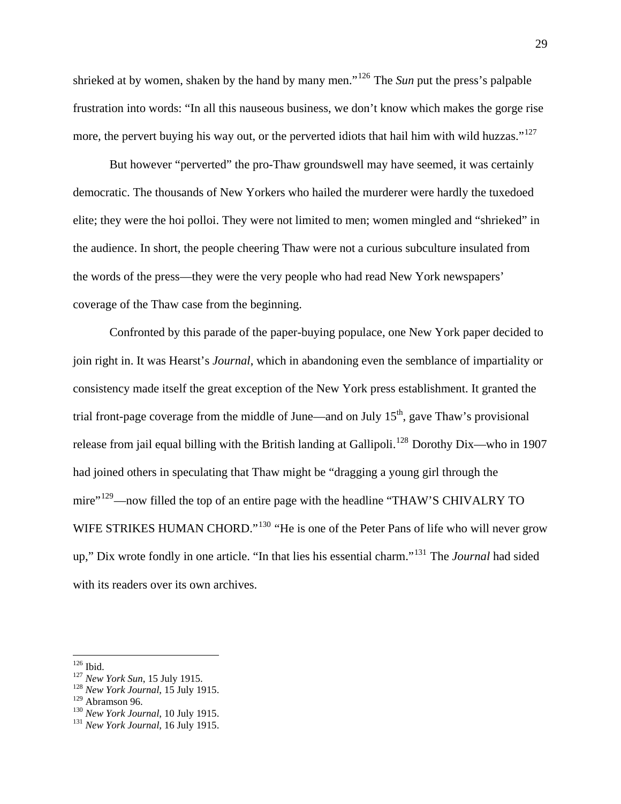shrieked at by women, shaken by the hand by many men."[126](#page-28-0) The *Sun* put the press's palpable frustration into words: "In all this nauseous business, we don't know which makes the gorge rise more, the pervert buying his way out, or the perverted idiots that hail him with wild huzzas."<sup>[127](#page-28-1)</sup>

But however "perverted" the pro-Thaw groundswell may have seemed, it was certainly democratic. The thousands of New Yorkers who hailed the murderer were hardly the tuxedoed elite; they were the hoi polloi. They were not limited to men; women mingled and "shrieked" in the audience. In short, the people cheering Thaw were not a curious subculture insulated from the words of the press—they were the very people who had read New York newspapers' coverage of the Thaw case from the beginning.

Confronted by this parade of the paper-buying populace, one New York paper decided to join right in. It was Hearst's *Journal*, which in abandoning even the semblance of impartiality or consistency made itself the great exception of the New York press establishment. It granted the trial front-page coverage from the middle of June—and on July  $15<sup>th</sup>$ , gave Thaw's provisional release from jail equal billing with the British landing at Gallipoli.<sup>[128](#page-28-2)</sup> Dorothy Dix—who in 1907 had joined others in speculating that Thaw might be "dragging a young girl through the mire"<sup>[129](#page-28-3)</sup>—now filled the top of an entire page with the headline "THAW'S CHIVALRY TO WIFE STRIKES HUMAN CHORD."<sup>[130](#page-28-4)</sup> "He is one of the Peter Pans of life who will never grow up," Dix wrote fondly in one article. "In that lies his essential charm."[131](#page-28-5) The *Journal* had sided with its readers over its own archives.

<span id="page-28-0"></span> $126$  Ibid.

<span id="page-28-2"></span><span id="page-28-1"></span><sup>&</sup>lt;sup>127</sup> *New York Sun*, 15 July 1915.<br><sup>128</sup> *New York Journal*, 15 July 1915.<br><sup>129</sup> Abramson 96.

<span id="page-28-3"></span>

<span id="page-28-4"></span><sup>&</sup>lt;sup>130</sup> New York Journal, 10 July 1915.<br><sup>131</sup> New York Journal, 16 July 1915.

<span id="page-28-5"></span>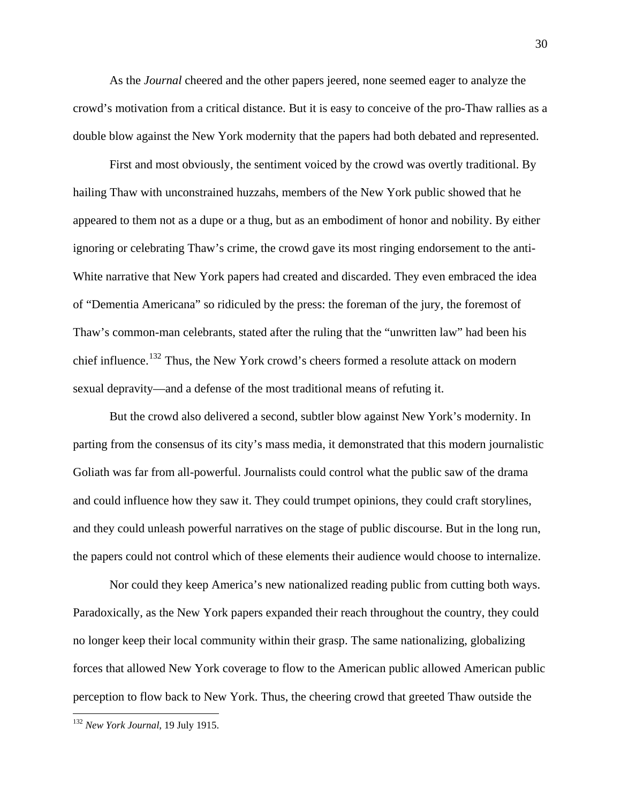As the *Journal* cheered and the other papers jeered, none seemed eager to analyze the crowd's motivation from a critical distance. But it is easy to conceive of the pro-Thaw rallies as a double blow against the New York modernity that the papers had both debated and represented.

First and most obviously, the sentiment voiced by the crowd was overtly traditional. By hailing Thaw with unconstrained huzzahs, members of the New York public showed that he appeared to them not as a dupe or a thug, but as an embodiment of honor and nobility. By either ignoring or celebrating Thaw's crime, the crowd gave its most ringing endorsement to the anti-White narrative that New York papers had created and discarded. They even embraced the idea of "Dementia Americana" so ridiculed by the press: the foreman of the jury, the foremost of Thaw's common-man celebrants, stated after the ruling that the "unwritten law" had been his chief influence.<sup>[132](#page-29-0)</sup> Thus, the New York crowd's cheers formed a resolute attack on modern sexual depravity—and a defense of the most traditional means of refuting it.

But the crowd also delivered a second, subtler blow against New York's modernity. In parting from the consensus of its city's mass media, it demonstrated that this modern journalistic Goliath was far from all-powerful. Journalists could control what the public saw of the drama and could influence how they saw it. They could trumpet opinions, they could craft storylines, and they could unleash powerful narratives on the stage of public discourse. But in the long run, the papers could not control which of these elements their audience would choose to internalize.

Nor could they keep America's new nationalized reading public from cutting both ways. Paradoxically, as the New York papers expanded their reach throughout the country, they could no longer keep their local community within their grasp. The same nationalizing, globalizing forces that allowed New York coverage to flow to the American public allowed American public perception to flow back to New York. Thus, the cheering crowd that greeted Thaw outside the

<u>.</u>

<span id="page-29-0"></span><sup>132</sup> *New York Journal*, 19 July 1915.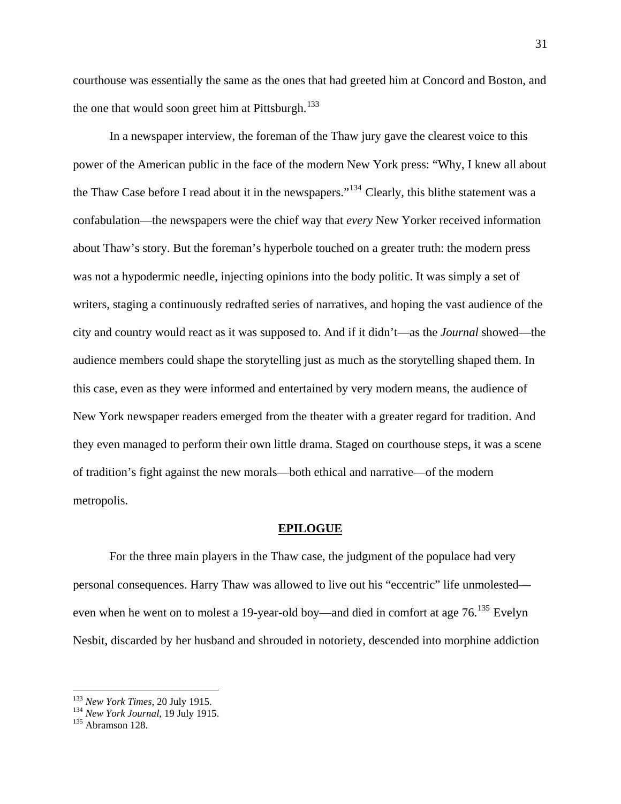courthouse was essentially the same as the ones that had greeted him at Concord and Boston, and the one that would soon greet him at Pittsburgh.<sup>[133](#page-30-0)</sup>

In a newspaper interview, the foreman of the Thaw jury gave the clearest voice to this power of the American public in the face of the modern New York press: "Why, I knew all about the Thaw Case before I read about it in the newspapers."<sup>[134](#page-30-1)</sup> Clearly, this blithe statement was a confabulation—the newspapers were the chief way that *every* New Yorker received information about Thaw's story. But the foreman's hyperbole touched on a greater truth: the modern press was not a hypodermic needle, injecting opinions into the body politic. It was simply a set of writers, staging a continuously redrafted series of narratives, and hoping the vast audience of the city and country would react as it was supposed to. And if it didn't—as the *Journal* showed—the audience members could shape the storytelling just as much as the storytelling shaped them. In this case, even as they were informed and entertained by very modern means, the audience of New York newspaper readers emerged from the theater with a greater regard for tradition. And they even managed to perform their own little drama. Staged on courthouse steps, it was a scene of tradition's fight against the new morals—both ethical and narrative—of the modern metropolis.

#### **EPILOGUE**

For the three main players in the Thaw case, the judgment of the populace had very personal consequences. Harry Thaw was allowed to live out his "eccentric" life unmolested— even when he went on to molest a 19-year-old boy—and died in comfort at age 76.<sup>[135](#page-30-2)</sup> Evelyn Nesbit, discarded by her husband and shrouded in notoriety, descended into morphine addiction

<span id="page-30-1"></span><span id="page-30-0"></span><sup>133</sup> *New York Times*, 20 July 1915. 134 *New York Journal*, 19 July 1915. 135 Abramson 128.

<span id="page-30-2"></span>